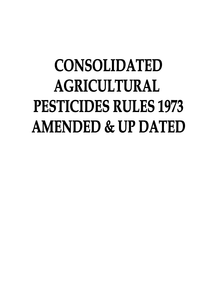# **CONSOLIDATED AGRICULTURAL** PESTICIDES RULES 1973 **AMENDED & UP DATED**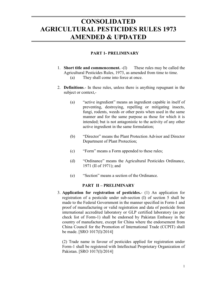# **CONSOLIDATED** AGRICULTURAL PESTICIDES RULES 1973 AMENDED & UPDATED

### PART 1- PRELIMINARY

- 1. Short title and commencement. -(I) These rules may be called the Agricultural Pesticides Rules, 1973, as amended from time to time. (a) They shall come into force at once.
- 2. Definitions.- In these rules, unless there is anything repugnant in the subject or context,-
	- (a) "active ingredient" means an ingredient capable in itself of preventing, destroying, repelling or mitigating insects, fungi, rodents, weeds or other pests when used in the same manner and for the same purpose as those for which it is intended; but is not antagonistic to the activity of any other active ingredient in the same formulation;
	- (b) "Director" means the Plant Protection Advisor and Director Department of Plant Protection;
	- (c) "Form" means a Form appended to these rules;
	- (d) "Ordinance" means the Agricultural Pesticides Ordinance, 1971 (II of 1971); and
	- (e) "Section" means a section of the Ordinance.

#### PART II – PRELIMINARY

3. Application for registration of pesticides.- (1) An application for registration of a pesticide under sub-section (I) of section 5 shall be made to the Federal Government in the manner specified in Form-1 and proof of manufacturing or valid registration and data of pesticide from international accredited laboratory or GLP certified laboratory (as per check list of Form-1) shall be endorsed by Pakistan Embassy in the country of manufacture, except for China where the endorsement from China Council for the Promotion of International Trade (CCPIT) shall be made. [SRO 1017(I)/2014]

 (2) Trade name in favour of pesticides applied for registration under Form-1 shall be registered with Intellectual Proprietary Organization of Pakistan. [SRO 1017(I)/2014]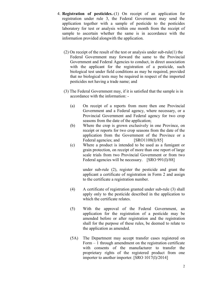- 4. Registration of pesticides.-(1) On receipt of an application for registration under rule 3, the Federal Government may send the application together with a sample of pesticide to the pesticides laboratory for test or analysis within one month from the receipt of sample to ascertain whether the same is in accordance with the information provided alongwith the application.
	- (2) On receipt of the result of the test or analysis under sub-rule(1) the Federal Government may forward the same to the Provincial Government and Federal Agencies to conduct, in direct association with the applicant for the registration of a pesticide, such biological test under field conditions as may be required, provided that no biological tests may be required in respect of the imported pesticides not having a trade name; and
	- (3) The Federal Government may, if it is satisfied that the sample is in accordance with the information: -
		- (a) On receipt of a reports from more then one Provincial Government and a Federal agency, where necessary, or a Provincial Government and Federal agency for two crop seasons from the date of the application;
		- (b) Where the crop is grown exclusively in one Province, on receipt or reports for two crop seasons from the date of the application from the Government of the Province or a Federal agencies; and [SRO1108(I)/85]
		- (c) Where a product is intended to be used as a fumigant or grain protection, on receipt of more than one report of large scale trials from two Provincial Government or from two Federal agencies will be necessary. [SRO 991(I)/88]

under sub-rule (2), register the pesticide and grant the applicant a certificate of registration in Form 2 and assign to the certificate a registration number.

- (4) A certificate of registration granted under sub-rule (3) shall apply only to the pesticide described in the application to which the certificate relates.
- (5) With the approval of the Federal Government, an application for the registration of a pesticide may be amended before or after registration and the registration shall for the purpose of these rules, be deemed to relate to the application as amended.
- (5A) The Department may accept transfer cases registered on Form – 1 through amendment on the registration certificate with consents of the manufacturer to transfer the proprietary rights of the registered product from one importer to another importer. [SRO 1017(I)/2014]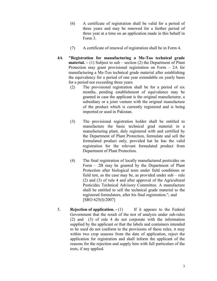- (6) A certificate of registration shall be valid for a period of three years and may be renewed for a further period of three year at a time on an application made in this behalf in Form 3.
- (7) A certificate of renewal of registration shall be in Form 4.
- 4A "Registration for manufacturing a Me-Too technical grade **material.**  $- (1)$  Subject to sub – section (2) the Department of Plant Protection may grant provisional registration on Form – 2A for manufacturing a Me-Too technical grade material after establishing the equivalency for a period of one year extendable on yearly basis for a period not exceeding three years.
	- (2) The provisional registration shall be for a period of six months, pending establishment of equivalence may be granted in case the applicant is the original manufacturer, a subsidiary or a joint venture with the original manufacture of the product which is currently registered and is being imported or used in Pakistan.
	- (3) The provisional registration holder shall be entitled to manufacture the basic technical grad material in a manufacturing plant, duly registered with and certified by the Department of Plant Protection, formulate and sell the formulated product only, provided hat he has the valid registration for the relevant formulated product from Department of Plant Protection.
	- (4) The final registration of locally manufactured pesticides on Form – 2B may be granted by the Department of Plant Protection after biological tests under field conditions or field test, as the case may be, as provided under sub – rule (2) and (3) of rule 4 and after approval of the Agricultural Pesticides Technical Advisory Committee. A manufacture shall be entitled to sell the technical grade material to the registered formulators, after his final registration."; and [SRO 625(I)/2007]
- 5. **Rejection of application.**  $\cdot$  (1) If it appears to the Federal Government that the result of the test of analysis under sub-rules (2) and (3) of rule 4 do not corporate with the information supplied by the applicant or that the labels and containers intended to be used do not conform to the provisions of these rules, it may within two crop seasons from the date of application, reject the application for registration and shall inform the applicant of the reasons for the rejection and supply him with full particulars of the tests, if any applied.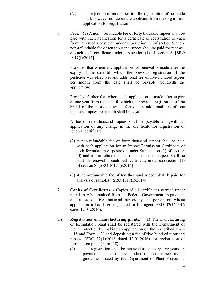- (2.) The rejection of an application for registration of pesticide shall, however not debar the applicant from making a fresh application for registration.
- 6. Fees. (1) A non refundable fee of forty thousand rupees shall be paid with each application for a certificate of registration of each formulation of a pesticide under sub-section (1) of section 5 and a non-refundable fee of ten thousand rupees shall be paid for renewal of each such certificate under sub-section (1) of section 8. [SRO 1017(I)/2014]

Provided that where any application for renewal is made after the expiry of the date till which the previous registration of the pesticide was effective, and additional fee of five hundred rupees per month from the date shall be payable alongwith the application;

 Provided further that where such application is made after expiry of one year from the date till which the previous registration of the brand of the pesticide was effective, an additional fee of one thousand rupees per month shall be payable.

A fee of one thousand rupees shall be payable alongwith an application of any change in the certificate for registration or renewal certificate.

- (2) A non-refundable fee of forty thousand rupees shall be paid with each application for an Import Permission Certificate of each formulation of pesticide under Sub-section (1) of section (5) and a non-refundable fee of ten thousand rupees shall be paid for renewal of each such certificate under sub-section (1) of section 8. [SRO 1017(I)/2014]
- (3) A non-refundable fee of ten thousand rupees shall b paid for analysis of samples. [SRO 1017(I)/2014]
- 7. Copies of Certificates. Copies of all certificates granted under rule 4 may be obtained from the Federal Government on payment of a fee of five thousand rupees by the person on whose application it had been registered or his agent.(SRO 32(1)/2016 dated 12.01.2016).
- 7A Registration of manufacturing plants. (1) The manufacturing or formulation plant shall be registered with the Department of Plant Protection by making an application on the prescribed Form – 18 and Form – 20 and depositing a fee of five hundred thousand rupees .(SRO 32(1)/2016 dated 12.01.2016) for registration of formulation plant (Form-18).
	- (2) The registration shall be renewed after every five years on payment of a fee of one hundred thousand rupees as per guidelines issued by the Department of Plant Protection.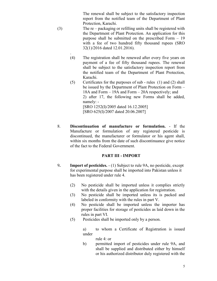The renewal shall be subject to the satisfactory inspection report from the notified team of the Department of Plant Protection, Karachi.

- (3) The re packaging or refilling units shall be registered with the Department of Plant Protection. An application for this purpose shall be submitted on the prescribed Form – 19 with a fee of two hundred fifty thousand rupees (SRO 32(1)/2016 dated 12.01.2016).
	- . (4) The registration shall be renewed after every five years on payment of a fee of fifty thousand rupees. The renewal shall be subject to the satisfactory inspection report from the notified team of the Department of Plant Protection, Karachi.
	- (5) Certificates for the purposes of sub rules (1) and (2) shall be issued by the Department of Plant Protection on Form – 18A and Form – 19A and Form – 20A respectively; and 2) after 17, the following new Forms shall be added, namely: - [SRO 1252(I)/2005 dated 16.12.2005] [SRO 625(I)/2007 dated 20.06.2007]
- 8. Discontinuation of manufacture or formulation. If the Manufacture or formulation of any registered pesticide is discontinued, the manufacturer or formulator or his agent shall, within six months from the date of such discontinuance give notice of the fact to the Federal Government.

#### PART III - IMPORT

- 9. Import of pesticides. (1) Subject to rule 9A, no pesticide, except for experimental purpose shall be imported into Pakistan unless it has been registered under rule 4.
	- (2) No pesticide shall be imported unless it complies strictly with the details given in the application for registration.
	- (3) No pesticide shall be imported unless its is packed and labeled in conformity with the rules in part V.
	- (4) No pesticide shall be imported unless the importer has proper facilities for storage of pesticides as laid down in the rules in part VI.
	- (5) Pesticides shall be imported only by a person.

a) to whom a Certificate of Registration is issued under

rule 4: or

b) permitted import of pesticides under rule 9A, and shall be supplied and distributed either by himself or his authorized distributor duly registered with the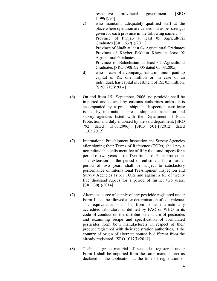respective provincial government. [SRO 1199(I)/95]

- c) who maintains adequately qualified staff at the place where operation are carried out as per strength given for each province in the following namely: - Province of Punjab at least 05 Agricultural Graduates [SRO 637(I)/2011] Province of Sindh at least 04 Agricultural Graduates Province of Khyber Pakhtun Khwa at least 02 Agricultural Graduates Province of Balochistan at least 02 Agricultural Graduates [SRO 790(I)/2005 dated 05.08.2005]
- d) who in case of a company, has a minimum paid up capital of Rs. one million or, in case of an individual, has capital investment of Rs. 0.5 million. [SRO 21(I)/2004]
- (6) On and from  $15<sup>th</sup>$  September, 2006, no pesticide shall be imported and cleared by customs authorities unless it is accompanied by a pre – shipment Inspection certificate issued by international pre – shipment inspection and survey agencies listed with the Department of Plant Protection and duly endorsed by the said department. [SRO 792 dated 13.07.2006] [SRO 501(I)/2012 dated 11.05.2012]
- (7) International Pre-shipment Inspection and Survey Agencies after signing their Terms of Reference (TORs) shall pay a non refundable enlistment fee of fifty thousand rupees for a period of two years to the Department of Plant Protection. The extension in the period of enlistment for a further period of two years shall be subject to satisfactory performance of International Pre-shipment Inspection and Survey Agencies as per TORs and against a fee of twenty five thousand rupees for a period of further two years. [SRO 30(I)/2014]
- (7) Alternate source of supply of any pesticide registered under Form-1 shall be allowed after determination of equivalence. The equivalence shall be from some internationally accredited laboratory as defined by FAO or WHO in its code of conduct on the distribution and use of pesticides and examining recipe and specification of formulated pesticides from both manufacturers in respect of their product registered with their registration authorities, if the country of origin of alternate source is different from the already registered. [SRO 1017(I)/2014]
- (8) Technical grade material of pesticides registered under Form-1 shall be imported from the same manufacturer as declared in the application at the time of registration or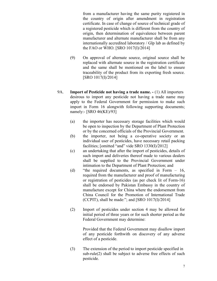from a manufacturer having the same purity registered in the country of origin after amendment in registration certificate. In case of change of source of technical grade of a registered pesticide which is different from the country of origin, then determination of equivalence between parent manufacturer and alternate manufacturer shall be from any internationally accredited laboratory / Glp lab as defined by the FAO or WHO. [SRO 1017(I)/2014]

- (9) On approval of alternate source, original source shall be replaced with alternate source in the registration certificate and the same shall be mentioned on the label to ensure traceability of the product from its exporting fresh source. [SRO 1017(I)/2014]
- 9A. Import of Pesticide not having a trade name. (1) All importers desirous to import any pesticide not having a trade name may apply to the Federal Government for permission to make such import in Form 16 alongwith following supporting documents; namely:- [SRO 46(KE)/93]
	- (a) the importer has necessary storage facilities which would be open to inspection by the Department of Plant Protection or by the concerned officials of the Provincial Government.
	- (b) the importer, not being a co-operative society or an individual user of pesticides, have necessary retail packing facilities; [omitted "and" vide SRO 1330(I)/2012]
	- (c) an undertaking that after the import of pesticides, details of such import and deliveries thereof made to various dealers shall be supplied to the Provincial Government under intimation to the Department of Plant Protection; and
	- (d) "the required documents, as specified in Form 16, required from the manufacturer and proof of manufacturing or registration of pesticides (as per check lit of Form-16) shall be endorsed by Pakistan Embassy in the country of manufacture except for China where the endorsement from China Council for the Promotion of International Trade (CCPIT), shall be made:"; and  $[SRO 1017(I)/2014]$
	- (2) Import of pesticides under section 4 may be allowed for initial period of three years or for such shorter period as the Federal Government may determine:

Provided that the Federal Government may disallow import of any pesticide forthwith on discovery of any adverse effect of a pesticide.

(3) The extension of the period to import pesticide specified in sub-rule(2) shall be subject to adverse free effects of such pesticide.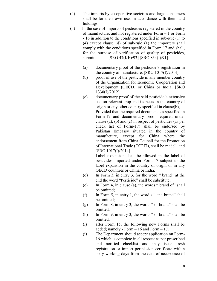- (4) The imports by co-operative societies and large consumers shall be for their own use, in accordance with their land holdings.
- (5) In the case of imports of pesticides registered in the country of manufacture, and not registered under Form – 1 or Form - 16 in addition to the conditions specified in sub-rule (1) to (4) except clause (d) of sub-rule (1) the importers shall comply with the conditions specified in Form 17 and shall, for the purpose of verification of quality of pesticides, submit:- [SRO 47(KE)/93] [SRO 834(I)/91]
	- (a) documentary proof of the pesticide's registration in the country of manufacture. [SRO 1017(I)/2014]
	- (b) proof of use of the pesticide in any member country of the Organization for Economic Cooperation and Development (OECD) or China or India; [SRO 1330(I)/2012]
	- (c) documentary proof of the said pesticide's extensive use on relevant crop and its pests in the country of origin or any other country specified in clause(b), Provided that the required documents as specified in Form-17 and documentary proof required under clause (a), (b) and (c) in respect of pesticides (as per check list of Form-17) shall be endorsed by Pakistan Embassy situated in the country of manufacture, except for China where the endorsement from China Council for the Promotion of International Trade (CCPIT), shall be made"; and [SRO 1017(I)/2014]

Label expansion shall be allowed in the label of pesticides imported under Form-17 subject to the label expansion in the country of origin or in any OECD countries or China or India.

- (d) In Form 3, in entry 3, for the word " brand" at the end the word "Pesticide" shall be substitute;
- (e) In Form 4, in clause (a), the words " brand of" shall be omitted;
- (f) In Form 5, in entry 1, the word s " and brand" shall be omitted;
- (g) In Form 8, in entry 3, the words " or brand" shall be omitted;
- (h) In Form 9, in entry 3, the words " or brand" shall be omitted;
- (i) after Form 15, the following new Forms shall be added; namely:- Form – 16 and Form – 17.
- (j) The Department should accept application on Form-16 which is complete in all respect as per prescribed and notified checklist and may issue fresh registration or import permission certificate within sixty working days from the date of acceptance of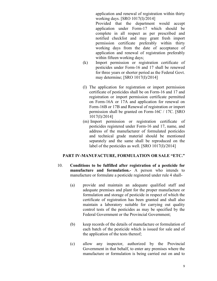application and renewal of registration within thirty working days. [SRO 1017(I)/2014]

Provided that the department would accept application under Form-17 which should be complete in all respect as per prescribed and notified checklist and may grant fresh import permission certificate preferably within thirty working days from the date of acceptance of application and renewal of registration preferably within fifteen working days;

- (k) Import permission or registration certificate of pesticides under Form-16 and 17 shall be renewed for three years or shorter period as the Federal Govt. may determine; [SRO 1017(I)/2014]
- (l) The application for registration or import permission certificate of pesticides shall be on Form-16 and 17 and registration or import permission certificate permitted on Form-16A or 17A and application for renewal on Form-16B or 17B and Renewal of registration or import permission shall be granted on Form-16C / 17C. [SRO 1017(I)/2014]
- (m) Import permission or registration certificate of pesticides registered under Form-16 and 17, name, and address of the manufacturer of formulated pesticides and technical grade material should be mentioned separately and the same shall be reproduced on the label of the pesticides as well. [SRO 1017(I)/2014]

#### PART IV-MANUFACTURE, FORMULATION OR SALE "ETC."

- 10. Conditions to be fulfilled after registration of a pesticide for manufacture and formulation.- A person who intends to manufacture or formulate a pesticide registered under rule 4 shall-
	- (a) provide and maintain an adequate qualified staff and adequate premises and plant for the proper manufacture or formulation and storage of pesticide in respect of which the certificate of registration has been granted and shall also maintain a laboratory suitable for carrying out quality control tests of the pesticides as may be specified by the Federal Government or the Provincial Government;
	- (b) keep records of the details of manufacture or formulation of each batch of the pesticide which is issued for sale and of the application of the tests thereof;
	- (c) allow any inspector, authorized by the Provincial Government in that behalf, to enter any premises where the manufacture or formulation is being carried out on and to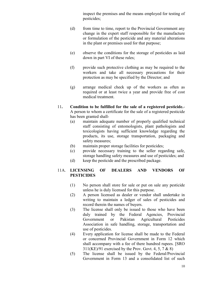inspect the premises and the means employed for testing of pesticides;

- (d) from time to time, report to the Provincial Government any change in the expert staff responsible for the manufacture or formulation of the pesticide and any material alterations in the plant or premises used for that purpose;
- (e) observe the conditions for the storage of pesticides as laid down in part VI of these rules;
- (f) provide such protective clothing as may be required to the workers and take all necessary precautions for their protection as may be specified by the Director; and
- (g) arrange medical check up of the workers as often as required or at least twice a year and provide free of cost medical treatment.
- 11. Condition to be fulfilled for the sale of a registered pesticide.- A person to whom a certificate for the sale of a registered pesticide has been granted shall-
	- (a) maintain adequate number of properly qualified technical staff consisting of entomologists, plant pathologists and toxicologists having sufficient knowledge regarding the products, its use, storage transportation, packaging and safety measures;
	- (b) maintain proper storage facilities for pesticides;
	- (c) provide necessary training to the seller regarding safe, storage handling safety measures and use of pesticides; and
	- (d) keep the pesticide and the prescribed package.

## 11A. LICENSING OF DEALERS AND VENDORS OF PESTICIDES

- (1) No person shall store for sale or put on sale any pesticide unless he is duly licensed for this purpose.
- (2) A person licensed as dealer or vendor shall undertake in writing to maintain a ledger of sales of pesticides and record therein the names of buyers.
- (3) The license shall only be issued to those who have been duly trained by the Federal Agencies, Provincial Government or Pakistan Agricultural Pesticides Association in safe handling, storage, transportation and use of pesticides.
- (4) Every application for license shall be made to the Federal or concerned Provincial Government in Form 12 which shall accompany with a fee of there hundred rupees. [SRO  $311(KE)/91$  exercised by the Prov. Govt. 4, 5, 7 & 8)
- (5) The license shall be issued by the Federal/Provincial Government in Form 13 and a consolidated list of such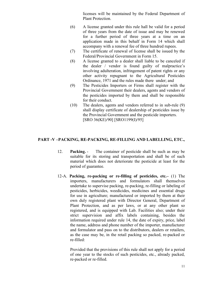licenses will be maintained by the Federal Department of Plant Protection.

- (6) A license granted under this rule hall be valid for a period of three years from the date of issue and may be renewed for a further period of three years at a time on an application made in this behalf in Form 14 which shall accompany with a renewal fee of three hundred rupees.
- (7) The certificate of renewal of license shall be issued by the Federal/Provincial Government in Form 15.
- (8) A license granted to a dealer shall liable to be canceled if the dealer / vendor is found guilty of malpractice's involving adulteration, infringement of patent rights or any other activity repugnant to the Agricultural Pesticides Ordinance, 1971 and the rules made there under; and
- (9) The Pesticides Importers or Firms shall register with the Provincial Government their dealers, agents and vendors of the pesticides imported by them and shall be responsible for their conduct.
- (10) The dealers, agents and vendors referred to in sub-rule (9) shall display certificate of dealership of pesticides issue by the Provincial Government and the pesticide importers. [SRO 36(KE)/90] [SRO1199(I)/95]

#### PART -V –PACKING, RE-PACKING, RE-FILLING AND LABELLING, ETC.,

- 12. Packing. The container of pesticide shall be such as may be suitable for its storing and transportation and shall be of such material which does not deteriorate the pesticide at least for the period of guarantee.
- 12-A. Packing, re-packing or re-filling of pesticides, etc.– (1) The importers, manufacturers and formulators shall themselves undertake to supervise packing, re-packing, re-filling or labeling of pesticides, herbicides, weedicides, medicines and essential drugs for use in agriculture; manufactured or imported by them at their own duly registered plant with Director General, Department of Plant Protection, and as per laws, or at any other plant so registered, and is equipped with Lab. Facilities also; under their strict supervision and affix labels containing, besides the information required under rule 14, the date of expiry, price, label the name, address and phone number of the importer, manufacturer and formulator and pass on to the distributors, dealers or retailers, as the case may be, in the retail packing so packed, re-packed or re-filled:

 Provided that the provisions of this rule shall not apply for a period of one year to the stocks of such pesticides, etc., already packed, re-packed or re-filled.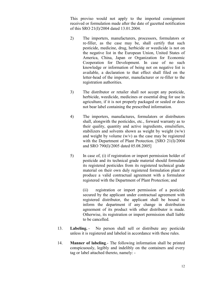This proviso would not apply to the imported consignment received or formulation made after the date of gazetted notification of this SRO 21(I)/2004 dated 13.01.2004.

- 2) The importers, manufacturers, processors, formulators or re-filler, as the case may be, shall certify that such pesticide, medicine, drug, herbicide or weedicide is not on the negative list in the European Union, United States of America, China, Japan or Organization for Economic Cooperation for Development. In case of no such knowledge or information of being not on negative list is available, a declaration to that effect shall filed on the letter-head of the importer, manufacturer or re-filler to the registration authorities.
- 3) The distributor or retailer shall not accept any pesticide, herbicide, weedicide, medicines or essential drug for use in agriculture, if it is not properly packaged or sealed or does not bear label containing the prescribed information.
- 4) The importers, manufactures, formulators or distributors shall, alongwith the pesticides, etc., forward warranty as to their quality, quantity and active ingredients, emulsifiers, stabilizers and solvents shown as weight by weight  $(w/w)$ and weight by volume  $(w/v)$  as the case may be registered with the Department of Plant Protection. [SRO 21(I)/2004 and SRO 790(I)/2005 dated 05.08.2005]
- 5) In case of, (i) if registration or import permission holder of pesticide and its technical grade material should formulate its registered pesticides from its registered technical grade material on their own duly registered formulation plant or produce a valid contractual agreement with a formulator registered with the Department of Plant Protection; and

(ii) registration or import permission of a pesticide secured by the applicant under contractual agreement with registered distributor, the applicant shall be bound to inform the department if any change in distribution agreement of its product with other distributor is made. Otherwise, its registration or import permission shall liable to be cancelled.

- 13. Labeling. No person shall sell or distribute any pesticide unless it is registered and labeled in accordance with these rules.
- 14. Manner of labeling.- The following information shall be printed conspicuously, legibly and indelibly on the containers and every tag or label attached thereto, namely: -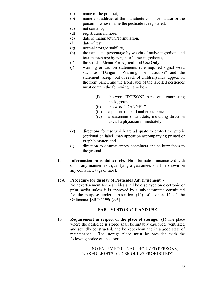- (a) name of the product,
- (b) name and address of the manufacturer or formulator or the person in whose name the pesticide is registered,
- (c) net contents,
- (d) registration number,
- (e) date of manufacture/formulation,
- (f) date of test,
- (g) normal storage stability,
- (h) the name and percentage by weight of active ingredient and total percentage by weight of other ingredients,
- (i) the words "Meant For Agricultural Use Only"
- (j) warning or caution statements (the required signal word such as "Danger" "Warning" or "Caution" and the statement "Keep" out of reach of children) must appear on the front panel; and the front label of the labelled pesticides must contain the following, namely: -
	- (i) the word "POISON" in red on a contrasting back ground,
	- (ii) the word "DANGER"
	- (iii) a picture of skull and cross-bones; and
	- (iv) a statement of antidote, including direction to call a physician immediately,
- (k) directions for use which are adequate to protect the public (optional on label) may appear on accompanying printed or graphic matter; and
- (l) direction to destroy empty containers and to bury them to the ground.
- 15. Information on container, etc.- No information inconsistent with or, in any manner, not qualifying a guarantee, shall be shown on any container, tags or label.

#### 15A. Procedure for display of Pesticides Advertisement. -

No advertisement for pesticides shall be displayed on electronic or print media unless it is approved by a sub-committee constituted for the purpose under sub-section (10) of section 12 of the Ordinance. [SRO 1199(I)/95]

#### PART VI-STORAGE AND USE

16. Requirement in respect of the place of storage. -(1) The place where the pesticide is stored shall be suitably equipped, ventilated and soundly constructed, and be kept clean and in a good state of maintenance. The storage place must be provided with the following notice on the door: -

> "NO ENTRY FOR UNAUTHORIZED PERSONS, NAKED LIGHTS AND SMOKING PROHIBITED"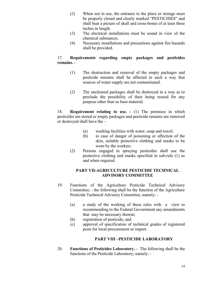- (2) When not in use, the entrance to the place or storage must be properly closed and clearly marked "PESTICIDES" and shall bear a picture of skull and cross-bones of at least three inches in length.
- (3) The electrical installations must be sound in view of the chemical substances.
- (4) Necessary installations and precautions against fire hazards shall be provided.

## 17. Requirements regarding empty packages and pesticides remains. -

- (1) The destruction and removal of the empty packages and pesticide remains shall be affected in such a way that sources of water supply are not contaminated.
- (2) The uncleaned packages shall be destroyed in a way as to preclude the possibility of their being reused for any purpose other than as base material.

18. Requirement relating to use. - (1) The premises in which pesticides are stored or empty packages and pesticide remains are removed or destroyed shall have the –

- (a) washing facilities with water, soap and towel;
- (b) in case of danger of poisoning or affection of the skin, suitable protective clothing and masks to be worn by the workers.
- (2) Persons engaged in spraying pesticides shall use the protective clothing and masks specified in sub-rule (1) as and when required.

#### PART VII-AGRICULTURE PESTICIDE TECHNICAL ADVISORY COMMITTEE

- 19. Functions of the Agriculture Pesticide Technical Advisory Committee, - the following shall be the function of the Agriculture Pesticide Technical Advisory Committee, namely: -
	- (a) a study of the working of these rules with a view to recommending to the Federal Government any amendments that may be necessary therein;
	- (b) registration of pesticide; and
	- (c) approval of specification of technical grades of registered pests for local procurement or import.

## PART VIII –PESTICIDE LABORATORY

20. Functions of Pesticides Laboratory. - The following shall be the functions of the Pesticide Laboratory, namely: -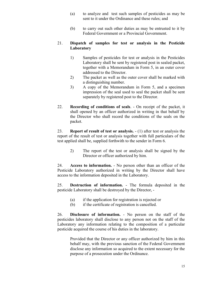- (a) to analyze and test such samples of pesticides as may be sent to it under the Ordinance and these rules; and
- (b) to carry out such other duties as may be entrusted to it by Federal Government or a Provincial Government.

#### 21. Dispatch of samples for test or analysis in the Pesticide Laboratory

- 1) Samples of pesticides for test or analysis in the Pesticides Laboratory shall be sent by registered post in sealed packet, together with a Memorandum in Form 5, in an outer cover addressed to the Director.
- 2) The packet as well as the outer cover shall be marked with a distinguishing number.
- 3) A copy of the Memorandum in Form 5, and a specimen impression of the seal used to seal the packet shall be sent separately by registered post to the Director.
- 22. Recording of conditions of seals. On receipt of the packet, it shall opened by an officer authorized in writing in that behalf by the Director who shall record the conditions of the seals on the packet.

23. Report of result of test or analysis. - (1) after test or analysis the report of the result of test or analysis together with full particulars of the test applied shall be, supplied forthwith to the sender in Form 6.

> 2) The report of the test or analysis shall be signed by the Director or officer authorized by him.

24. Access to information. - No person other than an officer of the Pesticide Laboratory authorized in writing by the Director shall have access to the information deposited in the Laboratory.

25. Destruction of information. - The formula deposited in the pesticide Laboratory shall be destroyed by the Director, -

- (a) if the application for registration is rejected or
- (b) if the certificate of registration is cancelled.

26. Disclosure of information. - No person on the staff of the pesticides laboratory shall disclose to any person not on the staff of the Laboratory any information relating to the composition of a particular pesticide acquired the course of his duties in the laboratory.

> Provided that the Director or any officer authorized by him in this behalf may, with the previous sanction of the Federal Government disclose any information so acquired to the extent necessary for the purpose of a prosecution under the Ordinance.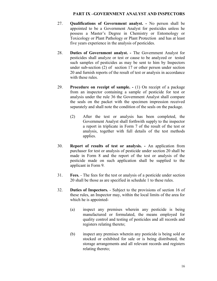#### PART IX –GOVERNMENT ANALYST AND INSPECTORS

- 27. Qualifications of Government analyst. No person shall be appointed to be a Government Analyst for pesticides unless he possess a Master's Degree in Chemistry or Entomology or Toxicology or Plant Pathology or Plant Protection and has at least five years experience in the analysis of pesticides.
- 28. Duties of Government analyst. The Government Analyst for pesticides shall analyze or test or cause to be analyzed or tested such samples of pesticides as may be sent to him by Inspectors under sub-section (2) of section 17 or other person under section 20 and furnish reports of the result of test or analysis in accordance with these rules.
- 29. Procedure on receipt of sample. (1) On receipt of a package from an inspector containing a sample of pesticide for test or analysis under the rule 36 the Government Analyst shall compare the seals on the packet with the specimen impression received separately and shall note the condition of the seals on the package.
	- (2) After the test or analysis has been completed, the Government Analyst shall forthwith supply to the inspector a report in triplicate in Form 7 of the result of the test or analysis, together with full details of the test methods applies.
- 30. Report of results of test or analysis. An application from purchaser for test or analysis of pesticide under section 20 shall be made in Form 8 and the report of the test or analysis of the pesticide made on such application shall be supplied to the applicant in Form 9.
- 31. Fees. The fees for the test or analysis of a pesticide under section 20 shall be those as are specified in schedule 1 to these rules.
- 32. Duties of Inspectors. Subject to the provisions of section 16 of these rules, an Inspector may, within the local limits of the area for which he is appointed-
	- (a) inspect any premises wherein any pesticide is being manufactured or formulated, the means employed for quality control and testing of pesticides and all records and registers relating thereto;
	- (b) inspect any premises wherein any pesticide is being sold or stocked or exhibited for sale or is being distributed, the storage arrangements and all relevant records and registers relating thereto;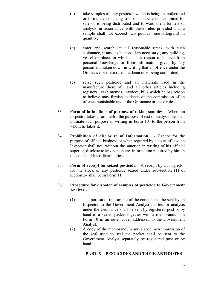- (c) take samples of any pesticide which is being manufactured or formulated or being sold or is stocked or exhibited for sale or is being distributed and forward them for test or analysis in accordance with these rules provided that a sample shall not exceed two pounds (one kilogram) in quantity;
- (d) enter and search, at all reasonable times, with such assistance, if any, as he considers necessary , any building, vessel or place, in which he has reason to believe from personal knowledge or from information given by any person and taken down in writing that an offence under the Ordinance or these rules has been or is being committed;
- (e) seize such pesticide and all materials used in the manufacture there of and all other articles including registers , cash memos, invoices, bills which he has reason to believe may furnish evidence of the commission of an offence punishable under the Ordinance or these rules.
- 33. Form of intimations of purpose of taking samples. Where an inspector takes a sample for the purpose of test or analysis, he shall intimate such purpose in writing in Form 10 to the person from whom he takes it.
- 34. Prohibition of disclosure of Information. Except for the purpose of official business or when required by a court of law, an Inspector shall not, without the sanction in writing of his official superior, disclose to any person any information required by him in the course of his official duties.
- 35. Form of receipt for seized pesticide. A receipt by an Inspector for the stock of any pesticide seized under sub-section (1) of section 24 shall be in Form 11.

#### 36. Procedure for dispatch of samples of pesticide to Government Analyst. -

- (1) The portion of the sample of the container to be sent by an Inspector to the Government Analyst for test or analysis under the Ordinance shall be sent by registered post or by hand in a sealed packet together with a memorandum in Form 10 in an outer cover addressed to the Government Analyst.
- (2) A copy of the memorandum and a specimen impression of the seal used to seal the packet shall be sent to the Government Analyst separately by registered post or by hand.

## PART X – PESTICIDES AND THEIR ANTIDOTES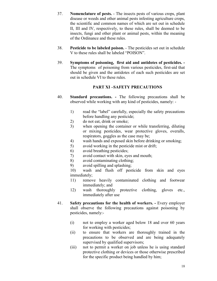- 37. Nomenclature of pests. The insects pests of various crops, plant disease or weeds and other animal pests infesting agriculture crops, the scientific and common names of which are set out in schedule II, III and IV, respectively, to these rules, shall be deemed to be insects, fungi and other plant or animal pests, within the meaning of the Ordinance and these rules.
- 38. Pesticide to be labeled poison. The pesticides set out in schedule V to these rules shall be labeled "POISON".
- 39. Symptoms of poisoning, first aid and antidotes of pesticides. The symptoms of poisoning from various pesticides, first-aid that should be given and the antidotes of each such pesticides are set out in schedule VI to these rules.

#### PART XI –SAFETY PRECAUTIONS

- 40. Standard precautions. The following precautions shall be observed while working with any kind of pesticides, namely: -
	- 1) read the "label" carefully, especially the safety precautions before handling any pesticide;
	- 2) do not eat, drink or smoke;
	- 3) when opening the container or while transferring, diluting or mixing pesticides, wear protective gloves, overalls, respirators, goggles as the case may be;
	- 4) wash hands and exposed skin before drinking or smoking;
	- 5) avoid working in the pesticide mist or drift;
	- 6) avoid breathing pesticides;
	- 7) avoid contact with skin, eyes and mouth;
	- 8) avoid contaminating clothing;
	- 9) avoid spilling and splashing;

10) wash and flush off pesticide from skin and eyes immediately;

- 11) remove heavily contaminated clothing and footwear immediately; and
- 12) wash thoroughly protective clothing, gloves etc., immediately after use
- 41. Safety precautions for the health of workers. Every employer shall observe the following precautions against poisoning by pesticides, namely:-
	- (i) not to employ a worker aged below 18 and over 60 years for working with pesticides;
	- (ii) to ensure that workers are thoroughly trained in the precautions to be observed and are being adequately supervised by qualified supervisors;
	- (iii) not to permit a worker on job unless he is using standard protective clothing or devices or those otherwise prescribed for the specific product being handled by him;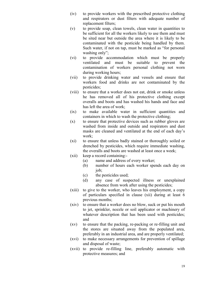- (iv) to provide workers with the prescribed protective clothing and respirators or dust filters with adequate number of replacement filters;
- (v) to provide soap, clean towels, clean water in quantities to be sufficient for all the workers likely to use them and must be sited near but outside the area where it is likely to be contaminated with the pesticide being handled by them. Such water, if not on tap, must be marked as "for personal washing only";
- (vi) to provide accommodation which must be properly ventilated and must be suitable to prevent the contamination of workers personal clothing not worn during working hours;
- (vii) to provide drinking water and vessels and ensure that workers food and drinks are not contaminated by the pesticides;
- (viii) to ensure that a worker does not eat, drink or smoke unless he has removed all of his protective clothing except overalls and boots and has washed his hands and face and has left the area of work;
- (ix) to make available water in sufficient quantities and containers in which to wash the protective clothing;
- (x) to ensure that protective devices such as rubber gloves are washed from inside and outside and respirators and dust masks are cleaned and ventilated at the end of each day's work;
- (xi) to ensure that unless badly stained or thoroughly soiled or drenched by pesticides, which require immediate washing, the overalls and boots are washed at least once a week;
- (xii) keep a record containing:-
	- (a) name and address of every worker;
	- (b) number of hours each worker spends each day on io<sub>b</sub>:
	- (c) the pesticides used;
	- (d) any case of suspected illness or unexplained absence from work after using the pesticides;
- (xiii) to give to the worker, who leaves his employment, a copy of particulars specified in clause (xii) during at least 6 previous months;
- (xiv) to ensure that a worker does no blow, suck or put his mouth to jet, sprinkler, nozzle or soil applicator or machinery of whatever description that has been used with pesticides; and
- (xv) to ensure that the packing, re-packing or re-filling unit and the stores are situated away from the populated area, preferably in an industrial area, and are properly ventilated;
- (xvi) to make necessary arrangements for prevention of spillage and disposal of waste;
- (xvii) to provide re-filling line, preferably automatic with protective measures; and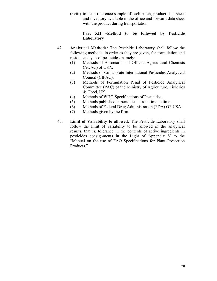(xviii) to keep reference sample of each batch, product data sheet and inventory available in the office and forward data sheet with the product during transportation.

#### Part XII -Method to be followed by Pesticide Laboratory

- 42. Analytical Methods: The Pesticide Laboratory shall follow the following methods, in order as they are given, for formulation and residue analysis of pesticides, namely:
	- (1) Methods of Association of Official Agricultural Chemists (AOAC) of USA.
	- (2) Methods of Collaborate International Pesticides Analytical Council (CIPAC).
	- (3) Methods of Formulation Penal of Pesticide Analytical Committee (PAC) of the Ministry of Agriculture, Fisheries & Food, UK.
	- (4) Methods of WHO Specifications of Pesticides.
	- (5) Methods published in periodicals from time to time.
	- (6) Methods of Federal Drug Administration (FDA) OF USA.
	- (7) Methods given by the firm.
- 43. Limit of Variability to allowed: The Pesticide Laboratory shall follow the limit of variability to be allowed in the analytical results, that is, tolerance in the contents of active ingredients in pesticides consignments in the Light of Appendix V to the "Manual on the use of FAO Specifications for Plant Protection Products."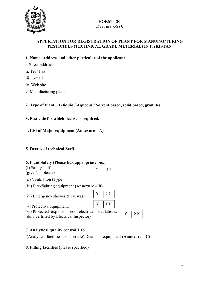

## $FORM-20$ {See rule  $7A(1)$ }

## APPLICATION FOR REGISTRATION OF PLANT FOR MANUFACTURING PESTICIDES (TECHNICAL GRADE METERIAL) IN PAKISTAN

### 1. Name, Address and other particular of the applicant

- i. Street address
- ii. Tel / Fax
- iii. E-mail
- iv. Web site
- v. Manufacturing plant
- 2. Type of Plant I) liquid / Aqueous / Solvent based, solid based, granules.
- 3. Pesticide for which license is required.
- 4. List of Major equipment (Annexure A)

## 5. Details of technical Staff.

#### 6. Plant Safety (Please tick appropriate box).

| (I) Safety staff  | $Y$ NN |  |
|-------------------|--------|--|
| (give No. please) |        |  |
|                   |        |  |

- (ii) Ventilation (Type)
- (iii) Fire-fighting equipment  $(Annexure B)$
- (iv) Emergency shower & eyewash.

(v) Protective equipment.

(vi) Protected/ explosion proof electrical installations. (duly certified by Electrical Inspector)

## 7. Analytical quality control Lab

(Analytical facilities exist on site) Details of equipment (Annexure –  $C$ )

 $Y$  | NN

 $Y$  NN

8. Filling facilities (please specified)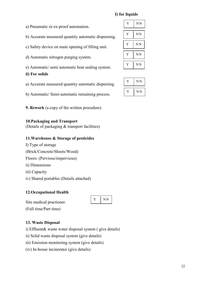## I) for liquids

| a) Pneumatic or ex-proof automation.                |
|-----------------------------------------------------|
| b) Accurate measured quantity automatic dispensing. |

- c) Safety device on main opening of filling unit.
- d) Automatic nitrogen purging system.

e) Automatic/ semi automatic heat sealing system.

## ii) For solids

a) Accurate measured quantity automatic dispersing.

b) Automatic/ Semi-automatic remaining process.

9. Rework (a copy of the written procedure)

## 10.Packaging and Transport

(Details of packaging & transport facilities)

## 11.Warehouse & Storage of pesticides

- I) Type of storage
- (Brick/Concrete/Sheets/Wood)
- Floors: (Pervious/impervious)
- ii) Dimensions
- iii) Capacity
- iv) Shared portables (Details attached)

## 12.Occupational Health

|--|--|

## Site medical practioner.

(Full time/Part time)

## 13. Waste Disposal

i) Effluent& waste water disposal system ( give details)

- ii) Solid waste disposal system (give details)
- iii) Emission monitoring system (give details)
- (iv) In-house incinerator (give details)

| Y | ΝN |
|---|----|
| Y | NN |
| Y | NN |
| Y | ΝN |
| Y | ΝN |

| NN |
|----|
| ΝN |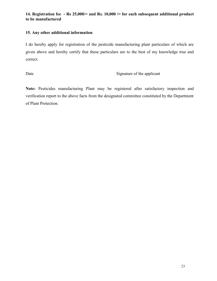## 14. Registration fee - Rs 25,000/= and Rs. 10,000 /= for each subsequent additional product to be manufactured

#### 15. Any other additional information

I do hereby apply for registration of the pesticide manufacturing plant particulars of which are given above and hereby certify that these particulars are to the best of my knowledge true and correct.

Date Signature of the applicant

Note: Pesticides manufacturing Plant may be registered after satisfactory inspection and verification report to the above facts from the designated committee constituted by the Department of Plant Protection.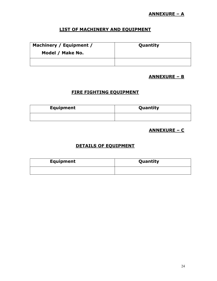## ANNEXURE – A

## LIST OF MACHINERY AND EQUIPMENT

| Machinery / Equipment / | Quantity |
|-------------------------|----------|
| Model / Make No.        |          |
|                         |          |

## ANNEXURE – B

## FIRE FIGHTING EQUIPMENT

| <b>Equipment</b> | Quantity |
|------------------|----------|
|                  |          |

## ANNEXURE – C

## DETAILS OF EQUIPMENT

| <b>Equipment</b> | Quantity |
|------------------|----------|
|                  |          |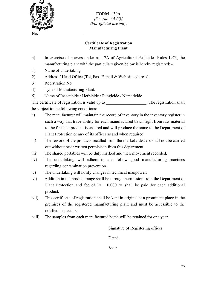

FORM – 20A  ${See rule 7A (3)}$ (For official use only)

#### Certificate of Registration Manufacturing Plant

- a) In exercise of powers under rule 7A of Agricultural Pesticides Rules 1973, the manufacturing plant with the particulars given below is hereby registered: -
- 1) Name of undertaking
- 2) Address / Head Office (Tel, Fax, E-mail & Web site address).
- 3) Registration No.
- 4) Type of Manufacturing Plant.
- 5) Name of Insecticide / Herbicide / Fungicide / Nematicide

The certificate of registration is valid up to The registration shall be subject to the following conditions: -

- i) The manufacturer will maintain the record of inventory in the inventory register in such a way that trace-ability for each manufactured batch right from raw material to the finished product is ensured and will produce the same to the Department of Plant Protection or any of its officer as and when required.
- ii) The rework of the products recalled from the market / dealers shall not be carried out without prior written permission from this department.
- iii) The shared portables will be duly marked and their movement recorded.
- iv) The undertaking will adhere to and follow good manufacturing practices regarding contamination prevention.
- v) The undertaking will notify changes in technical manpower.
- vi) Addition in the product range shall be through permission from the Department of Plant Protection and fee of Rs.  $10,000$  /= shall be paid for each additional product.
- vii) This certificate of registration shall be kept in original at a prominent place in the premises of the registered manufacturing plant and must be accessible to the notified inspectors.
- viii) The samples from each manufactured batch will be retained for one year.

Signature of Registering officer

Dated:

Seal: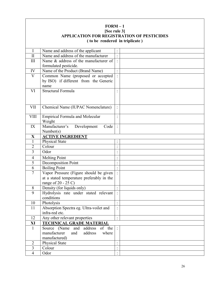| $FORM-1$<br>[See rule 3]<br><b>APPLICATION FOR REGISTRATION OF PESTICIDES</b><br>(to be rendered in triplicate) |                                                     |                      |  |
|-----------------------------------------------------------------------------------------------------------------|-----------------------------------------------------|----------------------|--|
| I                                                                                                               | Name and address of the applicant                   |                      |  |
| $\mathbf{I}$                                                                                                    | Name and address of the manufacturer                | $\ddot{\cdot}$       |  |
| III                                                                                                             | Name & address of the manufacturer of               |                      |  |
|                                                                                                                 | formulated pesticide.                               |                      |  |
| IV                                                                                                              | Name of the Product (Brand Name)                    | $\ddot{\cdot}$       |  |
| $\overline{\mathsf{V}}$                                                                                         | Common Name (proposed or accepted                   |                      |  |
|                                                                                                                 | by ISO) if different from the Generic<br>name       |                      |  |
| VI                                                                                                              | Structural Formula                                  |                      |  |
|                                                                                                                 |                                                     |                      |  |
| <b>VII</b>                                                                                                      | Chemical Name (IUPAC Nomenclature)                  |                      |  |
| <b>VIII</b>                                                                                                     | <b>Empirical Formula and Molecular</b><br>Weight    |                      |  |
| IX                                                                                                              | Manufacturer's<br>Development<br>Code               |                      |  |
|                                                                                                                 | Number(s)                                           |                      |  |
| $\mathbf X$                                                                                                     | <b>ACTIVE INGREDIENT</b>                            |                      |  |
| $\mathbf{1}$                                                                                                    | <b>Physical State</b>                               | $\ddot{\phantom{a}}$ |  |
| $\overline{2}$                                                                                                  | Colour                                              | $\bullet$            |  |
| 3                                                                                                               | Odor                                                | $\ddot{\cdot}$       |  |
| 4                                                                                                               | <b>Melting Point</b>                                | $\bullet$            |  |
| 5                                                                                                               | Decomposition Point                                 | $\ddot{\cdot}$       |  |
| 6                                                                                                               | <b>Boiling Point</b>                                |                      |  |
| $\overline{7}$                                                                                                  | Vapor Pressure (Figure should be given              |                      |  |
|                                                                                                                 | at a stated temperature preferably in the           |                      |  |
|                                                                                                                 | range of $20 - 25$ C)                               |                      |  |
| 8                                                                                                               | Density (for liquids only)                          |                      |  |
| 9                                                                                                               | Hydrolysis rate under stated relevant<br>conditions |                      |  |
| 10                                                                                                              | Photolysis                                          | $\vdots$             |  |
| 11                                                                                                              | Absorption Spectra eg. Ultra-voilet and             | $\ddot{\cdot}$       |  |
|                                                                                                                 | infra-red etc.                                      |                      |  |
| 12                                                                                                              | Any other relevant properties                       | $\ddot{\cdot}$       |  |
| XI                                                                                                              | <b>TECHNICAL GRADE MATERIAL</b>                     |                      |  |
| 1                                                                                                               | Source (Name and address<br>of the                  |                      |  |
|                                                                                                                 | manufacturer<br>and<br>address<br>where             |                      |  |
|                                                                                                                 | manufactured)                                       |                      |  |
| $\overline{2}$                                                                                                  | <b>Physical State</b>                               | $\ddot{\cdot}$       |  |
| $\overline{3}$                                                                                                  | Colour                                              | $\ddot{\cdot}$       |  |
| $\overline{4}$                                                                                                  | Odor                                                |                      |  |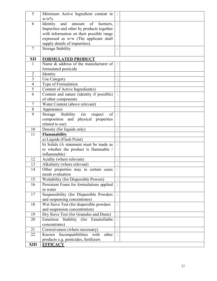| Identity<br>of<br>and<br>amount<br>6<br>Isomers,<br>Impurities and other by products together<br>with information on their possible range<br>expressed as w/w (The applicant shall<br>supply details of impurities).<br><b>Storage Stability</b><br>7<br>XII<br><b>FORMULATED PRODUCT</b><br>Name & address of the manufacturer of<br>1<br>formulated pesticide<br>$\overline{2}$<br>$\ddot{\phantom{a}}$<br>Identity<br>$\cdot$<br>$\overline{3}$<br>Use Category<br>$\ddot{\cdot}$<br>$\overline{4}$<br>Type of Formulation<br>$\ddot{\phantom{a}}$<br>$\ddot{\phantom{a}}$<br>5<br>Content of Active Ingredient(s)<br>$\Box$<br>Content and nature (identity if possible)<br>6<br>$\ddot{\cdot}$<br>of other components<br>Water Content (above relevant)<br>7<br>8<br>Appearance<br>9<br>of<br>Stability (in<br>Storage<br>respect<br>composition and physical properties<br>related to use)<br>Density (for liquids only)<br>10<br>$\ddot{\phantom{a}}$<br>Flammability<br>11<br>a) Liquids (Flash Point)<br>$\Box$<br>b) Solids (A statement must be made as<br>to whether the product is flammable /<br>inflammable)<br>12<br>Acidity (where relevant)<br>$\Box$<br>13<br>Alkalinity (where relevant)<br>14<br>Other properties may in certain cases<br>needs evaluation<br>15<br>Wettability (for Dispersible Powers)<br>$\ddot{\cdot}$<br>Persistent Foam for formulations applied<br>16<br>in water<br>17<br>Suspensibility (for Dispersible Powders<br>and suspensing concentrates)<br>Wet Sieve Test (for dispersible powders<br>18<br>$\ddot{\cdot}$<br>and suspension concentration)<br>$\ddot{\cdot}$<br>19<br>Dry Sieve Test (for Granules and Dusts)<br>Emulsion Stability (for Emulsifiable<br>20<br>concentrates)<br>21<br>Corrosiveness (where necessary)<br>Incompatibilities<br>22<br>Known<br>with<br>other<br>products e.g. pesticides, fertilizers<br><b>XIII</b><br><b>EFFICACY</b> | 5 | Minimum Active Ingredient content in<br>$W/W\%$ |  |
|---------------------------------------------------------------------------------------------------------------------------------------------------------------------------------------------------------------------------------------------------------------------------------------------------------------------------------------------------------------------------------------------------------------------------------------------------------------------------------------------------------------------------------------------------------------------------------------------------------------------------------------------------------------------------------------------------------------------------------------------------------------------------------------------------------------------------------------------------------------------------------------------------------------------------------------------------------------------------------------------------------------------------------------------------------------------------------------------------------------------------------------------------------------------------------------------------------------------------------------------------------------------------------------------------------------------------------------------------------------------------------------------------------------------------------------------------------------------------------------------------------------------------------------------------------------------------------------------------------------------------------------------------------------------------------------------------------------------------------------------------------------------------------------------------------------------------------------------------------------------------------------------------------------|---|-------------------------------------------------|--|
|                                                                                                                                                                                                                                                                                                                                                                                                                                                                                                                                                                                                                                                                                                                                                                                                                                                                                                                                                                                                                                                                                                                                                                                                                                                                                                                                                                                                                                                                                                                                                                                                                                                                                                                                                                                                                                                                                                               |   |                                                 |  |
|                                                                                                                                                                                                                                                                                                                                                                                                                                                                                                                                                                                                                                                                                                                                                                                                                                                                                                                                                                                                                                                                                                                                                                                                                                                                                                                                                                                                                                                                                                                                                                                                                                                                                                                                                                                                                                                                                                               |   |                                                 |  |
|                                                                                                                                                                                                                                                                                                                                                                                                                                                                                                                                                                                                                                                                                                                                                                                                                                                                                                                                                                                                                                                                                                                                                                                                                                                                                                                                                                                                                                                                                                                                                                                                                                                                                                                                                                                                                                                                                                               |   |                                                 |  |
|                                                                                                                                                                                                                                                                                                                                                                                                                                                                                                                                                                                                                                                                                                                                                                                                                                                                                                                                                                                                                                                                                                                                                                                                                                                                                                                                                                                                                                                                                                                                                                                                                                                                                                                                                                                                                                                                                                               |   |                                                 |  |
|                                                                                                                                                                                                                                                                                                                                                                                                                                                                                                                                                                                                                                                                                                                                                                                                                                                                                                                                                                                                                                                                                                                                                                                                                                                                                                                                                                                                                                                                                                                                                                                                                                                                                                                                                                                                                                                                                                               |   |                                                 |  |
|                                                                                                                                                                                                                                                                                                                                                                                                                                                                                                                                                                                                                                                                                                                                                                                                                                                                                                                                                                                                                                                                                                                                                                                                                                                                                                                                                                                                                                                                                                                                                                                                                                                                                                                                                                                                                                                                                                               |   |                                                 |  |
|                                                                                                                                                                                                                                                                                                                                                                                                                                                                                                                                                                                                                                                                                                                                                                                                                                                                                                                                                                                                                                                                                                                                                                                                                                                                                                                                                                                                                                                                                                                                                                                                                                                                                                                                                                                                                                                                                                               |   |                                                 |  |
|                                                                                                                                                                                                                                                                                                                                                                                                                                                                                                                                                                                                                                                                                                                                                                                                                                                                                                                                                                                                                                                                                                                                                                                                                                                                                                                                                                                                                                                                                                                                                                                                                                                                                                                                                                                                                                                                                                               |   |                                                 |  |
|                                                                                                                                                                                                                                                                                                                                                                                                                                                                                                                                                                                                                                                                                                                                                                                                                                                                                                                                                                                                                                                                                                                                                                                                                                                                                                                                                                                                                                                                                                                                                                                                                                                                                                                                                                                                                                                                                                               |   |                                                 |  |
|                                                                                                                                                                                                                                                                                                                                                                                                                                                                                                                                                                                                                                                                                                                                                                                                                                                                                                                                                                                                                                                                                                                                                                                                                                                                                                                                                                                                                                                                                                                                                                                                                                                                                                                                                                                                                                                                                                               |   |                                                 |  |
|                                                                                                                                                                                                                                                                                                                                                                                                                                                                                                                                                                                                                                                                                                                                                                                                                                                                                                                                                                                                                                                                                                                                                                                                                                                                                                                                                                                                                                                                                                                                                                                                                                                                                                                                                                                                                                                                                                               |   |                                                 |  |
|                                                                                                                                                                                                                                                                                                                                                                                                                                                                                                                                                                                                                                                                                                                                                                                                                                                                                                                                                                                                                                                                                                                                                                                                                                                                                                                                                                                                                                                                                                                                                                                                                                                                                                                                                                                                                                                                                                               |   |                                                 |  |
|                                                                                                                                                                                                                                                                                                                                                                                                                                                                                                                                                                                                                                                                                                                                                                                                                                                                                                                                                                                                                                                                                                                                                                                                                                                                                                                                                                                                                                                                                                                                                                                                                                                                                                                                                                                                                                                                                                               |   |                                                 |  |
|                                                                                                                                                                                                                                                                                                                                                                                                                                                                                                                                                                                                                                                                                                                                                                                                                                                                                                                                                                                                                                                                                                                                                                                                                                                                                                                                                                                                                                                                                                                                                                                                                                                                                                                                                                                                                                                                                                               |   |                                                 |  |
|                                                                                                                                                                                                                                                                                                                                                                                                                                                                                                                                                                                                                                                                                                                                                                                                                                                                                                                                                                                                                                                                                                                                                                                                                                                                                                                                                                                                                                                                                                                                                                                                                                                                                                                                                                                                                                                                                                               |   |                                                 |  |
|                                                                                                                                                                                                                                                                                                                                                                                                                                                                                                                                                                                                                                                                                                                                                                                                                                                                                                                                                                                                                                                                                                                                                                                                                                                                                                                                                                                                                                                                                                                                                                                                                                                                                                                                                                                                                                                                                                               |   |                                                 |  |
|                                                                                                                                                                                                                                                                                                                                                                                                                                                                                                                                                                                                                                                                                                                                                                                                                                                                                                                                                                                                                                                                                                                                                                                                                                                                                                                                                                                                                                                                                                                                                                                                                                                                                                                                                                                                                                                                                                               |   |                                                 |  |
|                                                                                                                                                                                                                                                                                                                                                                                                                                                                                                                                                                                                                                                                                                                                                                                                                                                                                                                                                                                                                                                                                                                                                                                                                                                                                                                                                                                                                                                                                                                                                                                                                                                                                                                                                                                                                                                                                                               |   |                                                 |  |
|                                                                                                                                                                                                                                                                                                                                                                                                                                                                                                                                                                                                                                                                                                                                                                                                                                                                                                                                                                                                                                                                                                                                                                                                                                                                                                                                                                                                                                                                                                                                                                                                                                                                                                                                                                                                                                                                                                               |   |                                                 |  |
|                                                                                                                                                                                                                                                                                                                                                                                                                                                                                                                                                                                                                                                                                                                                                                                                                                                                                                                                                                                                                                                                                                                                                                                                                                                                                                                                                                                                                                                                                                                                                                                                                                                                                                                                                                                                                                                                                                               |   |                                                 |  |
|                                                                                                                                                                                                                                                                                                                                                                                                                                                                                                                                                                                                                                                                                                                                                                                                                                                                                                                                                                                                                                                                                                                                                                                                                                                                                                                                                                                                                                                                                                                                                                                                                                                                                                                                                                                                                                                                                                               |   |                                                 |  |
|                                                                                                                                                                                                                                                                                                                                                                                                                                                                                                                                                                                                                                                                                                                                                                                                                                                                                                                                                                                                                                                                                                                                                                                                                                                                                                                                                                                                                                                                                                                                                                                                                                                                                                                                                                                                                                                                                                               |   |                                                 |  |
|                                                                                                                                                                                                                                                                                                                                                                                                                                                                                                                                                                                                                                                                                                                                                                                                                                                                                                                                                                                                                                                                                                                                                                                                                                                                                                                                                                                                                                                                                                                                                                                                                                                                                                                                                                                                                                                                                                               |   |                                                 |  |
|                                                                                                                                                                                                                                                                                                                                                                                                                                                                                                                                                                                                                                                                                                                                                                                                                                                                                                                                                                                                                                                                                                                                                                                                                                                                                                                                                                                                                                                                                                                                                                                                                                                                                                                                                                                                                                                                                                               |   |                                                 |  |
|                                                                                                                                                                                                                                                                                                                                                                                                                                                                                                                                                                                                                                                                                                                                                                                                                                                                                                                                                                                                                                                                                                                                                                                                                                                                                                                                                                                                                                                                                                                                                                                                                                                                                                                                                                                                                                                                                                               |   |                                                 |  |
|                                                                                                                                                                                                                                                                                                                                                                                                                                                                                                                                                                                                                                                                                                                                                                                                                                                                                                                                                                                                                                                                                                                                                                                                                                                                                                                                                                                                                                                                                                                                                                                                                                                                                                                                                                                                                                                                                                               |   |                                                 |  |
|                                                                                                                                                                                                                                                                                                                                                                                                                                                                                                                                                                                                                                                                                                                                                                                                                                                                                                                                                                                                                                                                                                                                                                                                                                                                                                                                                                                                                                                                                                                                                                                                                                                                                                                                                                                                                                                                                                               |   |                                                 |  |
|                                                                                                                                                                                                                                                                                                                                                                                                                                                                                                                                                                                                                                                                                                                                                                                                                                                                                                                                                                                                                                                                                                                                                                                                                                                                                                                                                                                                                                                                                                                                                                                                                                                                                                                                                                                                                                                                                                               |   |                                                 |  |
|                                                                                                                                                                                                                                                                                                                                                                                                                                                                                                                                                                                                                                                                                                                                                                                                                                                                                                                                                                                                                                                                                                                                                                                                                                                                                                                                                                                                                                                                                                                                                                                                                                                                                                                                                                                                                                                                                                               |   |                                                 |  |
|                                                                                                                                                                                                                                                                                                                                                                                                                                                                                                                                                                                                                                                                                                                                                                                                                                                                                                                                                                                                                                                                                                                                                                                                                                                                                                                                                                                                                                                                                                                                                                                                                                                                                                                                                                                                                                                                                                               |   |                                                 |  |
|                                                                                                                                                                                                                                                                                                                                                                                                                                                                                                                                                                                                                                                                                                                                                                                                                                                                                                                                                                                                                                                                                                                                                                                                                                                                                                                                                                                                                                                                                                                                                                                                                                                                                                                                                                                                                                                                                                               |   |                                                 |  |
|                                                                                                                                                                                                                                                                                                                                                                                                                                                                                                                                                                                                                                                                                                                                                                                                                                                                                                                                                                                                                                                                                                                                                                                                                                                                                                                                                                                                                                                                                                                                                                                                                                                                                                                                                                                                                                                                                                               |   |                                                 |  |
|                                                                                                                                                                                                                                                                                                                                                                                                                                                                                                                                                                                                                                                                                                                                                                                                                                                                                                                                                                                                                                                                                                                                                                                                                                                                                                                                                                                                                                                                                                                                                                                                                                                                                                                                                                                                                                                                                                               |   |                                                 |  |
|                                                                                                                                                                                                                                                                                                                                                                                                                                                                                                                                                                                                                                                                                                                                                                                                                                                                                                                                                                                                                                                                                                                                                                                                                                                                                                                                                                                                                                                                                                                                                                                                                                                                                                                                                                                                                                                                                                               |   |                                                 |  |
|                                                                                                                                                                                                                                                                                                                                                                                                                                                                                                                                                                                                                                                                                                                                                                                                                                                                                                                                                                                                                                                                                                                                                                                                                                                                                                                                                                                                                                                                                                                                                                                                                                                                                                                                                                                                                                                                                                               |   |                                                 |  |
|                                                                                                                                                                                                                                                                                                                                                                                                                                                                                                                                                                                                                                                                                                                                                                                                                                                                                                                                                                                                                                                                                                                                                                                                                                                                                                                                                                                                                                                                                                                                                                                                                                                                                                                                                                                                                                                                                                               |   |                                                 |  |
|                                                                                                                                                                                                                                                                                                                                                                                                                                                                                                                                                                                                                                                                                                                                                                                                                                                                                                                                                                                                                                                                                                                                                                                                                                                                                                                                                                                                                                                                                                                                                                                                                                                                                                                                                                                                                                                                                                               |   |                                                 |  |
|                                                                                                                                                                                                                                                                                                                                                                                                                                                                                                                                                                                                                                                                                                                                                                                                                                                                                                                                                                                                                                                                                                                                                                                                                                                                                                                                                                                                                                                                                                                                                                                                                                                                                                                                                                                                                                                                                                               |   |                                                 |  |
|                                                                                                                                                                                                                                                                                                                                                                                                                                                                                                                                                                                                                                                                                                                                                                                                                                                                                                                                                                                                                                                                                                                                                                                                                                                                                                                                                                                                                                                                                                                                                                                                                                                                                                                                                                                                                                                                                                               |   |                                                 |  |
|                                                                                                                                                                                                                                                                                                                                                                                                                                                                                                                                                                                                                                                                                                                                                                                                                                                                                                                                                                                                                                                                                                                                                                                                                                                                                                                                                                                                                                                                                                                                                                                                                                                                                                                                                                                                                                                                                                               |   |                                                 |  |
|                                                                                                                                                                                                                                                                                                                                                                                                                                                                                                                                                                                                                                                                                                                                                                                                                                                                                                                                                                                                                                                                                                                                                                                                                                                                                                                                                                                                                                                                                                                                                                                                                                                                                                                                                                                                                                                                                                               |   |                                                 |  |
|                                                                                                                                                                                                                                                                                                                                                                                                                                                                                                                                                                                                                                                                                                                                                                                                                                                                                                                                                                                                                                                                                                                                                                                                                                                                                                                                                                                                                                                                                                                                                                                                                                                                                                                                                                                                                                                                                                               |   |                                                 |  |
|                                                                                                                                                                                                                                                                                                                                                                                                                                                                                                                                                                                                                                                                                                                                                                                                                                                                                                                                                                                                                                                                                                                                                                                                                                                                                                                                                                                                                                                                                                                                                                                                                                                                                                                                                                                                                                                                                                               |   |                                                 |  |
|                                                                                                                                                                                                                                                                                                                                                                                                                                                                                                                                                                                                                                                                                                                                                                                                                                                                                                                                                                                                                                                                                                                                                                                                                                                                                                                                                                                                                                                                                                                                                                                                                                                                                                                                                                                                                                                                                                               |   |                                                 |  |
|                                                                                                                                                                                                                                                                                                                                                                                                                                                                                                                                                                                                                                                                                                                                                                                                                                                                                                                                                                                                                                                                                                                                                                                                                                                                                                                                                                                                                                                                                                                                                                                                                                                                                                                                                                                                                                                                                                               |   |                                                 |  |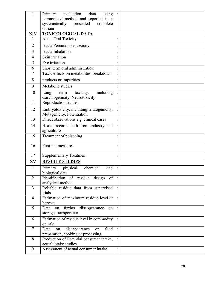| $\mathbf{1}$   | Primary<br>evaluation<br>data<br>using                                          |                                              |  |
|----------------|---------------------------------------------------------------------------------|----------------------------------------------|--|
|                | harmonized method and reported in a                                             |                                              |  |
|                | systematically<br>presented<br>complete                                         |                                              |  |
|                | dossier                                                                         |                                              |  |
| <b>XIV</b>     | <b>TOXICOLOGICAL DATA</b>                                                       |                                              |  |
| 1              | <b>Acute Oral Toxicity</b>                                                      |                                              |  |
| 2              | Acute Percutanious toxicity                                                     | $\ddot{\phantom{1}}$<br>$\bullet$            |  |
| 3              | Acute Inhalation                                                                |                                              |  |
| 4              | Skin irritation                                                                 | $\cdot$                                      |  |
| 5              | Eye irritation                                                                  | $\ddot{\phantom{0}}$<br>$\ddot{\phantom{0}}$ |  |
| 6              | Short term oral administration                                                  | $\cdot$                                      |  |
| 7              | Toxic effects on metabolites, breakdown                                         | $\ddot{\cdot}$                               |  |
| 8              | products or impurities                                                          | $\ddot{\cdot}$                               |  |
| 9              | Metabolic studies                                                               |                                              |  |
| 10             | including<br>Long<br>toxicity,<br>term<br>Carcinogenicity, Neurotoxicity        |                                              |  |
| 11             | Reproduction studies                                                            |                                              |  |
| 12             | Embryotoxicity, including teratogenicity,<br>Mutagenicity, Potentiation         | $\ddot{\cdot}$                               |  |
| 13             | Direct observations e.g. clinical cases                                         |                                              |  |
| 14             | Health records both from industry and                                           |                                              |  |
|                | agriculture                                                                     |                                              |  |
| 15             | Treatment of poisoning                                                          | $\bullet$                                    |  |
| 16             | First-aid measures                                                              |                                              |  |
| 17             | <b>Supplementary Treatment</b>                                                  | $\bullet$                                    |  |
| XV             | <b>RESIDUE STUDIES</b>                                                          |                                              |  |
| $\mathbf{1}$   | chemical<br>physical<br>Primary<br>and<br>biological data                       | $\mathbb{C}$                                 |  |
| $\overline{2}$ | Identification of residue design of<br>analytical method                        |                                              |  |
| 3              | Reliable residue data from supervised<br>trials                                 |                                              |  |
| $\overline{4}$ | Estimation of maximum residue level at<br>harvest                               |                                              |  |
| 5              | further disappearance<br>Data on<br>on                                          |                                              |  |
|                | storage, transport etc.                                                         |                                              |  |
| 6              | Estimation of residue level in commodity<br>on sale.                            |                                              |  |
| $\tau$         | food<br>Data<br>disappearance<br>on<br>on<br>preparation, cooking or processing |                                              |  |
| 8              | Production of Potential consumer intake,<br>actual intake studies               |                                              |  |
| 9              | Assessment of actual consumer intake                                            | $\ddot{\cdot}$                               |  |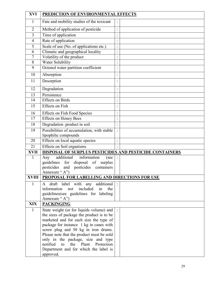| <b>XVI</b>     | PREDICTION OF ENVIRONMENTAL EFFECTS                                                       |                                              |  |
|----------------|-------------------------------------------------------------------------------------------|----------------------------------------------|--|
| 1              | Fate and mobility studies of the toxicant                                                 |                                              |  |
| $\overline{2}$ | Method of application of pesticide                                                        | $\ddot{\phantom{0}}$                         |  |
| 3              | Time of application                                                                       | $\bullet$                                    |  |
| 4              | Rate of application                                                                       | $\ddot{\phantom{0}}$<br>$\ddot{\phantom{a}}$ |  |
| 5              | Scale of use (No. of applications etc.)                                                   | $\ddot{\cdot}$                               |  |
| 6              | Climatic and geographical locality                                                        | $\ddot{\phantom{0}}$<br>$\Box$               |  |
| 7              | Volatility of the product                                                                 | $\ddot{\phantom{0}}$<br>$\cdot$              |  |
| 8              | <b>Water Solubility</b>                                                                   | $\ddot{\phantom{0}}$<br>$\ddot{\phantom{a}}$ |  |
| 9              | Octonol water partition coefficient                                                       | $\ddot{\phantom{0}}$                         |  |
| 10             | Absorption                                                                                | $\cdot$<br>$\ddot{\phantom{0}}$              |  |
| 11             | Desorption                                                                                |                                              |  |
| 12             | Degradation                                                                               |                                              |  |
| 13             | Persistence                                                                               |                                              |  |
| 14             | <b>Effects</b> on Birds                                                                   | $\ddot{\cdot}$                               |  |
| 15             | <b>Effects</b> on Fish                                                                    | $\ddot{\cdot}$                               |  |
| 16             | <b>Effects on Fish Food Species</b>                                                       | $\bullet$                                    |  |
| 17             | <b>Effects on Honey Bees</b>                                                              | $\cdot$                                      |  |
| 18             | Degradation .product in soil                                                              | $\bullet$                                    |  |
| 19             | Possibilities of accumulation, with stable                                                |                                              |  |
|                | lipophilic compounds                                                                      |                                              |  |
| 20             | Effects on local aquatic species                                                          | $\ddot{\phantom{0}}$                         |  |
| 21             | <b>Effects on Soil organisms</b>                                                          |                                              |  |
| <b>XVII</b>    | DISPOSAL OF SURPLUS PESTICIDES AND PESTICIDE CONTAINERS                                   |                                              |  |
| 1              | information<br>additional<br>(see<br>Any                                                  |                                              |  |
|                | guidelines<br>for<br>disposal of<br>surplus<br>pesticides<br>pesticides containers<br>and |                                              |  |
|                | Annexure "A")                                                                             |                                              |  |
| <b>XVIII</b>   | PROPOSAL FOR LABELLING AND DIRECTIONS FOR USE                                             |                                              |  |
| $\mathbf{1}$   | draft label with any additional<br>A                                                      |                                              |  |
|                | information<br>included<br>in<br>the<br>not                                               |                                              |  |
|                | guidelines(see guidelines for labeling                                                    |                                              |  |
|                | Annexure "A")                                                                             |                                              |  |
| <b>XIX</b>     | <b>PACKINGING</b>                                                                         |                                              |  |
| $\mathbf{1}$   | State weight (or for liquids volume) and                                                  |                                              |  |
|                | the sizes of package the product is to be                                                 |                                              |  |
|                | marketed and for each size the type of                                                    |                                              |  |
|                | package for instance 1 kg in canes with<br>screw plug and 50 kg in iron drums.            |                                              |  |
|                | Please note that the product must be sold                                                 |                                              |  |
|                | only in the package, size and type                                                        |                                              |  |
|                | notified<br>Plant<br>to<br>the<br>Protection                                              |                                              |  |
|                | Department and for which the label is                                                     |                                              |  |
|                | approved.                                                                                 |                                              |  |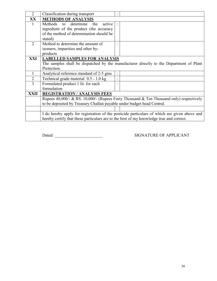| $\overline{2}$ | Classification during transport                                                         | $\bullet$            |                                                                                              |
|----------------|-----------------------------------------------------------------------------------------|----------------------|----------------------------------------------------------------------------------------------|
| XX             | <b>METHODS OF ANALYSIS</b>                                                              |                      |                                                                                              |
| 1              | Methods<br>determine<br>the<br>active<br>to                                             |                      |                                                                                              |
|                | ingredient of the product (the accuracy                                                 |                      |                                                                                              |
|                | of the method of determination should be                                                |                      |                                                                                              |
|                | stated)                                                                                 |                      |                                                                                              |
| $\overline{2}$ | Method to determine the amount of                                                       |                      |                                                                                              |
|                | isomers, impurities and other by-                                                       |                      |                                                                                              |
|                | products                                                                                |                      |                                                                                              |
| XXI            | <b>LABELLED SAMPLES FOR ANALYSIS</b>                                                    |                      |                                                                                              |
|                |                                                                                         |                      | The samples shall be dispatched by the manufacturer directly to the Department of Plant      |
|                | Protection.                                                                             |                      |                                                                                              |
| 1              | Analytical reference standard of 2-5 gms                                                | $\ddot{\cdot}$       |                                                                                              |
| $\overline{2}$ | Technical grade material 0.5 - 1.0 kg                                                   | $\cdot$<br>$\bullet$ |                                                                                              |
| 3              | Formulated product 1 lit. for each                                                      |                      |                                                                                              |
|                | formulation                                                                             |                      |                                                                                              |
| XXII           | <b>REGISTRATION / ANALYSIS FEES</b>                                                     |                      |                                                                                              |
|                |                                                                                         |                      | Rupees 40,000/- & RS. 10,000/- (Rupees Forty Thousand & Ten Thousand only) respectively      |
|                | to be deposited by Treasury Challan payable under budget head Central.                  |                      |                                                                                              |
|                |                                                                                         |                      |                                                                                              |
|                |                                                                                         |                      | I do hereby apply for registration of the pesticide particulars of which are given above and |
|                | hereby certify that these particulars are to the best of my knowledge true and correct. |                      |                                                                                              |

Dated: SIGNATURE OF APPLICANT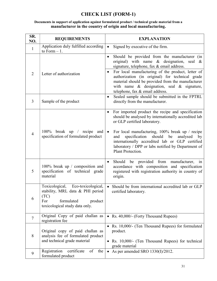# CHECK LIST (FORM-1)

#### Documents in support of application against formulated product / technical grade material from a manufacturer in the country of origin and local manufacturing.

| SR.<br>NO.     | <b>REQUIREMENTS</b>                                                                                                                             | <b>EXPLANATION</b>                                                                                                                                                                                                                                                                                                                                                                                                               |
|----------------|-------------------------------------------------------------------------------------------------------------------------------------------------|----------------------------------------------------------------------------------------------------------------------------------------------------------------------------------------------------------------------------------------------------------------------------------------------------------------------------------------------------------------------------------------------------------------------------------|
| $\mathbf{1}$   | Application duly fulfilled according<br>to Form $-1$ .                                                                                          | Signed by executive of the firm.<br>$\bullet$                                                                                                                                                                                                                                                                                                                                                                                    |
| $\overline{2}$ | Letter of authorization                                                                                                                         | Should be provided from the manufacturer (in<br>$\bullet$<br>original) with name & designation, seal<br>$\propto$<br>signature, telephone, fax & email address.<br>For local manufacturing of the product, letter of<br>$\bullet$<br>authorization (in original) for technical grade<br>material should be provided from the manufacturer<br>with name $\&$ designation, seal $\&$ signature,<br>telephone, fax & email address. |
| 3              | Sample of the product                                                                                                                           | Sealed sample should be submitted in the FPTRL<br>$\bullet$<br>directly from the manufacturer.                                                                                                                                                                                                                                                                                                                                   |
| $\overline{4}$ | 100% break up / recipe and<br>specification of formulated product                                                                               | For imported product the recipe and specification<br>$\bullet$<br>should be analysed by internationally accredited lab<br>or GLP certified laboratory.<br>For local manufacturing, 100% break up / recipe<br>$\bullet$<br>should<br>specification<br>be<br>and<br>analysed<br>by<br>internationally accredited lab or GLP certified<br>laboratory / DPP or labs notified by Department of<br>Plant Protection.                   |
| 5              | 100% break up / composition and<br>specification of technical grade<br>material                                                                 | Should be provided from manufacturer,<br>$\bullet$<br>1n<br>accordance with composition and specification<br>registered with registration authority in country of<br>origin.                                                                                                                                                                                                                                                     |
| 6              | Toxicological, Eco-toxicological,<br>stability, MRL data & PHI period<br>(TC)<br>For<br>formulated<br>product<br>toxicological study data only. | Should be from international accredited lab or GLP<br>$\bullet$<br>certified laboratory.                                                                                                                                                                                                                                                                                                                                         |
| $\overline{7}$ | Original Copy of paid challan as<br>registration fee                                                                                            | • Rs. 40,000/- (Forty Thousand Rupees)                                                                                                                                                                                                                                                                                                                                                                                           |
| 8              | Original copy of paid challan as<br>analysis fee of formulated product<br>and technical grade material                                          | Rs. 10,000/- (Ten Thousand Rupees) for formulated<br>product.<br>Rs. 10,000/- (Ten Thousand Rupees) for technical<br>grade material                                                                                                                                                                                                                                                                                              |
| 9              | of<br>Registration<br>certificate<br>the<br>formulated product                                                                                  | As per amended SRO 1330(I)/2012.                                                                                                                                                                                                                                                                                                                                                                                                 |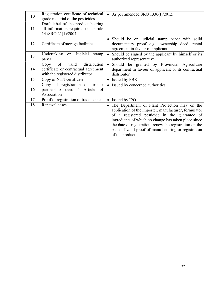| 10 | Registration certificate of technical<br>grade material of the pesticides                                      | As per amended SRO 1330(I)/2012.<br>$\bullet$                                                                                                                                                                                                                                                                                                                       |
|----|----------------------------------------------------------------------------------------------------------------|---------------------------------------------------------------------------------------------------------------------------------------------------------------------------------------------------------------------------------------------------------------------------------------------------------------------------------------------------------------------|
| 11 | Draft label of the product bearing<br>all information required under rule<br>14/SRO 21(1)/2004                 |                                                                                                                                                                                                                                                                                                                                                                     |
| 12 | Certificate of storage facilities                                                                              | • Should be on judicial stamp paper with solid<br>documentary proof e.g., ownership deed, rental<br>agreement in favour of applicant.                                                                                                                                                                                                                               |
| 13 | Undertaking on Judicial<br>stamp<br>paper                                                                      | Should be signed by the applicant by himself or its<br>$\bullet$<br>authorized representative.                                                                                                                                                                                                                                                                      |
| 14 | of<br>distribution<br>valid<br>Copy<br>certificate or contractual agreement<br>with the registered distributor | Should be granted by Provincial Agriculture<br>$\bullet$<br>department in favour of applicant or its contractual<br>distributor                                                                                                                                                                                                                                     |
| 15 | Copy of NTN certificate                                                                                        | • Issued by FBR                                                                                                                                                                                                                                                                                                                                                     |
| 16 | Copy of registration of firm /<br>partnership deed / Article<br>of<br>Association                              | Issued by concerned authorities<br>$\bullet$                                                                                                                                                                                                                                                                                                                        |
| 17 | Proof of registration of trade name                                                                            | Issued by IPO<br>$\bullet$                                                                                                                                                                                                                                                                                                                                          |
| 18 | Renewal cases                                                                                                  | The Department of Plant Protection may on the<br>$\bullet$<br>application of the importer, manufacturer, formulator<br>of a registered pesticide in the guarantee of<br>ingredients of which no change has taken place since<br>the date of registration, renew the registration on the<br>basis of valid proof of manufacturing or registration<br>of the product. |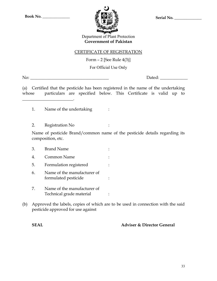

Department of Plant Protection Government of Pakistan

## CERTIFICATE OF REGISTRATION

Form  $-2$  [See Rule 4(3)]

For Official Use Only

No: \_\_\_\_\_\_\_\_\_\_\_\_\_\_\_\_\_\_\_\_\_\_\_\_\_\_\_\_\_\_\_\_\_\_\_\_\_ Dated: \_\_\_\_\_\_\_\_\_\_\_\_\_

(a) Certified that the pesticide has been registered in the name of the undertaking whose particulars are specified below. This Certificate is valid up to

- 1. Name of the undertaking :
- 2. Registration No :

\_\_\_\_\_\_\_\_\_\_\_\_\_\_\_\_\_\_\_\_\_\_\_\_.

Name of pesticide Brand/common name of the pesticide details regarding its composition, etc.

- 3. Brand Name : 4. Common Name : 5. Formulation registered : 6. Name of the manufacturer of formulated pesticide :  $\cdot$  :
- 7. Name of the manufacturer of Technical grade material :
- (b) Approved the labels, copies of which are to be used in connection with the said pesticide approved for use against

SEAL Adviser & Director General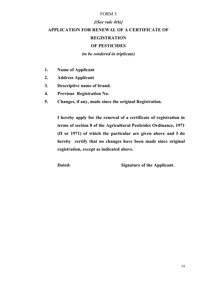## $\{(See rule 4(6)\})$

# APPLICATION FOR RENEWAL OF A CERTIFICATE OF **REGISTRATION**

## OF PESTICIDES

(to be rendered in triplicate)

- 1. Name of Applicant
- 2. Address Applicant
- 3. Descriptive name of brand.
- 4. Previous Registration No.
- 5. Changes, if any, made since the original Registration.

I hereby apply for the renewal of a certificate of registration in terms of section 8 of the Agricultural Pesticides Ordinance, 1971 (II or 1971) of which the particular are given above and I do hereby certify that no changes have been made since original registration, except as indicated above.

Dated: Signature of the Applicant.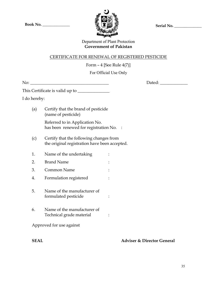$Book No.$  \_\_\_\_\_\_\_\_\_\_\_\_\_\_\_\_\_\_\_\_\_\_ Sample  $\mathcal{H} \left( \mathbf{Z} \right)$   $\mathcal{H} \left( \mathbf{Z} \right)$   $\mathcal{H} \left( \mathbf{Z} \right)$   $\mathcal{H} \left( \mathbf{Z} \right)$   $\mathcal{H} \left( \mathbf{Z} \right)$   $\mathcal{H} \left( \mathbf{Z} \right)$   $\mathcal{H} \left( \mathbf{Z} \right)$   $\mathcal{H} \left( \mathbf{Z} \right)$   $\mathcal{H} \left( \mathbf{Z}$ 



## Department of Plant Protection Government of Pakistan

### CERTIFICATE FOR RENEWAL OF REGISTERED PESTICIDE

Form  $-4$  [See Rule  $4(7)$ ]

For Official Use Only

Dated:

This Certificate is valid up to \_\_\_\_\_\_\_\_\_\_\_\_\_\_\_

I do hereby:

(a) Certify that the brand of pesticide (name of pesticide)

> Referred to in Application No. has been renewed for registration No. :

- (c) Certify that the following changes from the original registration have been accepted.
- 1. Name of the undertaking :
- 2. Brand Name :
- 3. Common Name :
- 4. Formulation registered :
- 5. Name of the manufacturer of formulated pesticide :  $\cdot$  :
- 6. Name of the manufacturer of Technical grade material :

Approved for use against

SEAL Adviser & Director General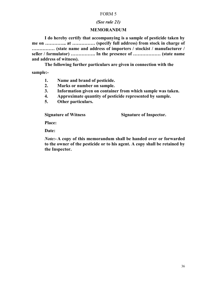## (See rule 21)

## MEMORANDUM

I do hereby certify that accompanying is a sample of pesticide taken by me on ………….. at …………… (specify full address) from stock in charge of …………… (state name and address of importers / stockist / manufacturer / seller / formulator) ……………. In the presence of ……………… (state name and address of witness).

The following further particulars are given in connection with the

sample:-

- 1. Name and brand of pesticide.
- 2. Marks or number on sample.
- 3. Information given on container from which sample was taken.
- 4. Approximate quantity of pesticide represented by sample.
- 5. Other particulars.

Signature of Witness Signature of Inspector.

Place:

Date:

Note:- A copy of this memorandum shall be handed over or forwarded to the owner of the pesticide or to his agent. A copy shall be retained by the Inspector.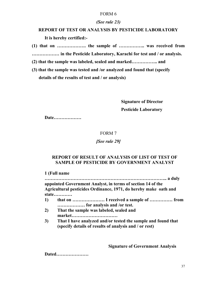## (See rule 23)

# REPORT OF TEST OR ANALYSIS BY PESTICIDE LABORATORY It is hereby certified:-

(1) that on ………………. the sample of …………….. was received from ……………… in the Pesticide Laboratory, Karachi for test and / or analysis.

(2) that the sample was labeled, sealed and marked…………….. and

(3) that the sample was tested and /or analyzed and found that (specify details of the results of test and / or analysis)

> Signature of Director Pesticide Laboratory

Date………………

## FORM 7

### [See rule 29]

## REPORT OF RESULT OF ANALYSIS OF LIST OF TEST OF SAMPLE OF PESTICIDE BY GOVERNMENT ANALYST

1 (Full name

…………………………………………………………………….. a duly appointed Government Analyst, in terms of section 14 of the Agricultural pesticides Ordinance, 1971, do hereby make oath and state…………

- 1) that on ………………… I received a sample of …………… from ……………… for analysis and /or test.
- 2) That the sample was labeled, sealed and market…………………………
- 3) That I have analyzed and/or tested the sample and found that (specify details of results of analysis and / or rest)

Signature of Government Analysis

Dated…………………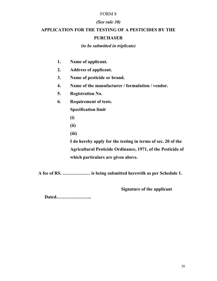## (See rule 30)

# APPLICATION FOR THE TESTING OF A PESTICIDES BY THE

## PURCHASER

## (to be submitted in triplicate)

- 1. Name of applicant.
- 2. Address of applicant.
- 3. Name of pesticide or brand.
- 4. Name of the manufacturer / formulation / vendor.
- 5. Registration No.
- 6. Requirement of tests.

Specification limit

- (i)
- (ii)
- (iii)

I do hereby apply for the testing in terms of sec. 20 of the Agricultural Pesticide Ordinance, 1971, of the Pesticide of which particulars are given above.

A fee of RS. ……………… is being submitted herewith as per Schedule 1.

Signature of the applicant

Dated…………………..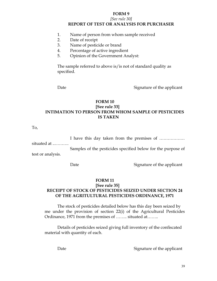#### [See rule 30] REPORT OF TEST OR ANALYSIS FOR PURCHASER

- 1. Name of person from whom sample received
- 2. Date of receipt
- 3. Name of pesticide or brand
- 4. Percentage of active ingredient
- 5. Opinion of the Government Analyst:

The sample referred to above is/is not of standard quality as specified.

Date Signature of the applicant

#### FORM 10 [See rule 33] INTIMATION TO PERSON FROM WHOM SAMPLE OF PESTICIDES IS TAKEN

To,

 I have this day taken from the premises of ……………… situated at ..………. Samples of the pesticides specified below for the purpose of test or analysis.

Date Signature of the applicant

#### FORM 11

#### [See rule 35] RECEIPT OF STOCK OF PESTICIDES SEIZED UNDER SECTION 24 OF THE AGRITULTURAL PESTICIDES ORDINANCE, 1971

The stock of pesticides detailed below has this day been seized by me under the provision of section 22(i) of the Agricultural Pesticides Ordinance, 1971 from the premises of …….. situated at……..

Details of pesticides seized giving full inventory of the confiscated material with quantity of each.

Date Signature of the applicant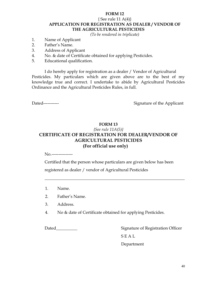## { See rule 11 A(4)} APPLICATION FOR REGISTRATION AS DEALER / VENDOR OF THE AGRICULTURAL PESTICIDES

(To be rendered in triplicate)

- 1. Name of Applicant
- 2. Father's Name.
- 3. Address of Applicant
- 4. No. & date of Certificate obtained for applying Pesticides.
- 5. Educational qualification.

I do hereby apply for registration as a dealer / Vendor of Agricultural Pesticides. My particulars which are given above are to the best of my knowledge true and correct. I undertake to abide by Agricultural Pesticides Ordinance and the Agricultural Pesticides Rules, in full.

Dated----------- Signature of the Applicant

## FORM 13 {See rule 11A(5)} CERTIFICATE OF REGISTRATION FOR DEALER/VENDOR OF AGRICULTURAL PESTICIDES (For official use only)

No.---------------

Certified that the person whose particulars are given below has been registered as dealer / vendor of Agricultural Pesticides

 $\overline{\phantom{a}}$  , and the contract of the contract of the contract of the contract of the contract of the contract of the contract of the contract of the contract of the contract of the contract of the contract of the contrac

- 1. Name.
- 2. Father's Name.
- 3. Address.
- 4. No & date of Certificate obtained for applying Pesticides.

Dated\_\_\_\_\_\_\_\_\_\_ Signature of Registration Officer S E A L Department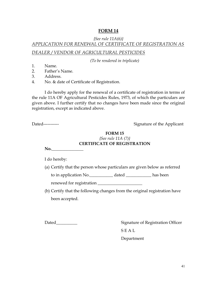# {See rule  $11A(6)$ } APPLICATION FOR RENEWAL OF CERTIFICATE OF REGISTRATION AS

DEALER / VENDOR OF AGRICULTURAL PESTICIDES

(To be rendered in triplicate)

- 1. Name.
- 2. Father's Name.
- 3. Address.
- 4. No. & date of Certificate of Registration.

I do hereby apply for the renewal of a certificate of registration in terms of the rule 11A OF Agricultural Pesticides Rules, 1973, of which the particulars are given above. I further certify that no changes have been made since the original registration, except as indicated above.

Dated----------- Signature of the Applicant

## FORM 15 {See rule 11A (7)} CERTIFICATE OF REGISTRATION

 $No.$ 

I do hereby:

(a) Certify that the person whose particulars are given below as referred

to in application No.\_\_\_\_\_\_\_\_\_\_\_ dated \_\_\_\_\_\_\_\_\_\_\_\_ has been

renewed for registration \_\_\_\_\_\_\_\_\_\_\_\_\_\_\_\_\_\_\_\_\_

(b) Certify that the following changes from the original registration have been accepted.

Dated\_\_\_\_\_\_\_\_\_\_ Signature of Registration Officer S E A L

Department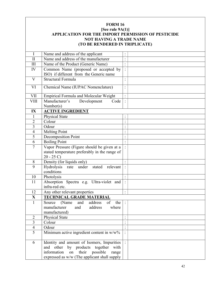## FORM 16 [See rule 9A(1)] APPLICATION FOR THE IMPORT PERMISSION OF PESTICIDE NOT HAVING A TRADE NAME (TO BE RENDERED IN TRIPLICATE) I Name and address of the applicant : II Name and address of the manufacturer  $\|\cdot\|$ III Name of the Product (Generic Name) : IV Common Name (proposed or accepted by ISO) if different from the Generic name : V Structural Formula : VI Chemical Name (IUPAC Nomenclature) |: VII Empirical Formula and Molecular Weight : VIII Manufacturer's Development Code Number(s)  $\vert \cdot \vert$ IX | ACTIVE INGREDIENT 1 Physical State  $\vert$ : 2 | Colour | :  $3$  Odour  $\vdots$ 4 | Melting Point | : 5 Decomposition Point  $\vert$ : 6 | Boiling Point | : 7 Vapor Pressure (Figure should be given at a stated temperature preferably in the range of  $20 - 25 C$ : 8 Density (for liquids only) : 9 Hydrolysis rate under stated relevant : conditions 10 Photolysis : 11 Absorption Spectra e.g. Ultra-violet and infra-red etc. : 12 Any other relevant properties  $\vert$ : X TECHNICAL GRADE MATERIAL

| $\overline{A}$              | тесничене экипетитетине                         |  |
|-----------------------------|-------------------------------------------------|--|
|                             | of<br>and<br>address<br>(Name)<br>the<br>Source |  |
|                             | manufacturer<br>address<br>and<br>where         |  |
|                             | manufactured)                                   |  |
| $\mathcal{D}_{\mathcal{A}}$ | <b>Physical State</b>                           |  |
| 3                           | Colour                                          |  |
| 4                           | Odour                                           |  |
| 5                           | Minimum active ingredient content in $w/w$ %    |  |
|                             |                                                 |  |
| 6                           | Identity and amount of Isomers, Impurities      |  |
|                             | and other by products together<br>with          |  |
|                             | information on their<br>possible<br>range       |  |
|                             | expressed as w/w (The applicant shall supply    |  |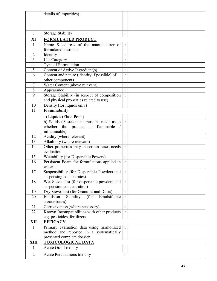|                          | details of impurities).                       |                      |  |
|--------------------------|-----------------------------------------------|----------------------|--|
|                          |                                               |                      |  |
|                          |                                               |                      |  |
|                          |                                               |                      |  |
| $\overline{7}$           | <b>Storage Stability</b>                      |                      |  |
| XI                       | <b>FORMULATED PRODUCT</b>                     |                      |  |
| 1                        | Name & address of the manufacturer of         |                      |  |
|                          | formulated pesticide.                         |                      |  |
| $\overline{2}$           | Identity                                      | $\ddot{\phantom{a}}$ |  |
| 3                        | Use Category                                  |                      |  |
| $\overline{\mathcal{A}}$ | Type of Formulation                           |                      |  |
| 5                        | Content of Active Ingredient(s)               |                      |  |
| 6                        | Content and nature (identity if possible) of  | $\bullet$            |  |
|                          | other components                              |                      |  |
| 7                        | Water Content (above relevant)                |                      |  |
| $8\,$                    | Appearance                                    | $\ddot{\phantom{a}}$ |  |
| 9                        | Storage Stability (in respect of composition  |                      |  |
|                          | and physical properties related to use)       |                      |  |
| 10                       | Density (for liquids only)                    | $\cdot$              |  |
| 11                       | Flammability                                  |                      |  |
|                          | a) Liquids (Flash Point)                      |                      |  |
|                          | b) Solids (A statement must be made as to     |                      |  |
|                          | whether the product is flammable              |                      |  |
|                          | inflammable)                                  |                      |  |
| 12                       | Acidity (where relevant)                      |                      |  |
| 13                       | Alkalinity (where relevant)                   |                      |  |
| 14                       | Other properties may in certain cases needs   |                      |  |
|                          | evaluation                                    |                      |  |
| 15                       | Wettability (for Dispersible Powers)          | $\bullet$            |  |
| 16                       | Persistent Foam for formulations applied in   |                      |  |
|                          | water                                         |                      |  |
| 17                       | Suspensibility (for Dispersible Powders and   |                      |  |
|                          | suspensing concentrates)                      |                      |  |
| 18                       | Wet Sieve Test (for dispersible powders and   |                      |  |
|                          | suspension concentration)                     |                      |  |
| 19                       | Dry Sieve Test (for Granules and Dusts)       |                      |  |
| 20                       | Emulsion<br>Stability<br>(for<br>Emulsifiable |                      |  |
|                          | concentrates)                                 |                      |  |
| 21                       | Corrosiveness (where necessary)               |                      |  |
| 22                       | Known Incompatibilities with other products   |                      |  |
|                          | e.g. pesticides, fertilizers                  |                      |  |
| XII                      | <b>EFFICACY</b>                               |                      |  |
| $\mathbf{1}$             | Primary evaluation data using harmonized      |                      |  |
|                          | method and reported in a systematically       |                      |  |
|                          | presented complete dossier                    |                      |  |
| <b>XIII</b>              | <b>TOXICOLOGICAL DATA</b>                     |                      |  |
| 1                        | <b>Acute Oral Toxicity</b>                    |                      |  |
| $\overline{2}$           | Acute Percutanious toxicity                   |                      |  |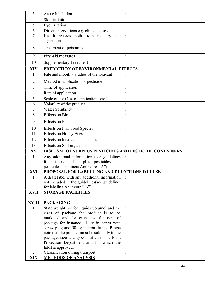| 3              | Acute Inhalation                                                             |  |
|----------------|------------------------------------------------------------------------------|--|
| 4              | Skin irritation                                                              |  |
| 5              | Eye irritation                                                               |  |
| 6              | Direct observations e.g. clinical cases                                      |  |
| $\overline{7}$ | Health records both from industry and                                        |  |
|                | agriculture                                                                  |  |
| 8              | Treatment of poisoning                                                       |  |
| 9              | First-aid measures                                                           |  |
| 10             | <b>Supplementary Treatment</b>                                               |  |
| <b>XIV</b>     | PREDICTION OF ENVIRONMENTAL EFFECTS                                          |  |
| $\mathbf{1}$   | Fate and mobility studies of the toxicant                                    |  |
| $\overline{2}$ | Method of application of pesticide                                           |  |
| 3              | Time of application                                                          |  |
| $\overline{4}$ | Rate of application                                                          |  |
| 5              | Scale of use (No. of applications etc.)                                      |  |
| 6              | Volatility of the product                                                    |  |
| 7              | Water Solubility                                                             |  |
| 8              | <b>Effects</b> on Birds                                                      |  |
| 9              | <b>Effects</b> on Fish                                                       |  |
| 10             | <b>Effects on Fish Food Species</b>                                          |  |
| 11             | <b>Effects on Honey Bees</b>                                                 |  |
| 12             | Effects on local aquatic species                                             |  |
| 13             | Effects on Soil organisms                                                    |  |
| XV             | DISPOSAL OF SURPLUS PESTICIDES AND PESTICIDE CONTAINERS                      |  |
| $\mathbf{1}$   | Any additional information (see guidelines                                   |  |
|                | for disposal of surplus pesticides<br>and                                    |  |
|                | pesticides containers Annexure "A")                                          |  |
| <b>XVI</b>     | PROPOSAL FOR LABELLING AND DIRECTIONS FOR USE                                |  |
| 1              | A draft label with any additional information                                |  |
|                | not included in the guidelines (see guidelines<br>for labeling Annexure "A") |  |
| <b>XVII</b>    | <b>STORAGE FACILITIES</b>                                                    |  |
|                |                                                                              |  |
| <b>XVIII</b>   | <b>PACKAGING</b>                                                             |  |
| $\mathbf{1}$   | State weight (or for liquids volume) and the                                 |  |
|                | sizes of package the product is to be                                        |  |
|                | marketed and for each size the type of                                       |  |
|                | package for instance 1 kg in canes with                                      |  |
|                | screw plug and 50 kg in iron drums. Please                                   |  |
|                | note that the product must be sold only in the                               |  |
|                | package, size and type notified to the Plant                                 |  |
|                | Protection Department and for which the                                      |  |
|                | label is approved.                                                           |  |
| $\overline{2}$ | Classification during transport                                              |  |
| <b>XIX</b>     | <b>METHODS OF ANALYSIS</b>                                                   |  |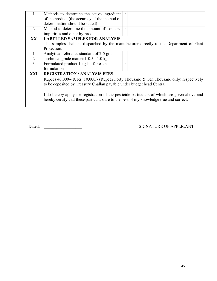|                | Methods to determine the active ingredient                                                   |  |
|----------------|----------------------------------------------------------------------------------------------|--|
|                |                                                                                              |  |
|                | of the product (the accuracy of the method of                                                |  |
|                | determination should be stated)                                                              |  |
| 2              | Method to determine the amount of isomers,                                                   |  |
|                | impurities and other by-products                                                             |  |
| <b>XX</b>      | <b>LABELLED SAMPLES FOR ANALYSIS</b>                                                         |  |
|                | The samples shall be dispatched by the manufacturer directly to the Department of Plant      |  |
|                | Protection.                                                                                  |  |
|                | Analytical reference standard of 2-5 gms                                                     |  |
| $\overline{2}$ | Technical grade material 0.5 - 1.0 kg                                                        |  |
| 3              | Formulated product 1 kg-lit. for each                                                        |  |
|                | formulation                                                                                  |  |
| XXI            | <b>REGISTRATION / ANALYSIS FEES</b>                                                          |  |
|                | Rupees 40,000/- & Rs. 10,000/- (Rupees Forty Thousand & Ten Thousand only) respectively      |  |
|                | to be deposited by Treasury Challan payable under budget head Central.                       |  |
|                |                                                                                              |  |
|                | I do hereby apply for registration of the pesticide particulars of which are given above and |  |
|                | hereby certify that these particulars are to the best of my knowledge true and correct.      |  |
|                |                                                                                              |  |
|                |                                                                                              |  |

Dated: \_\_\_\_\_\_\_\_\_\_\_\_\_\_\_\_\_\_ SIGNATURE OF APPLICANT

-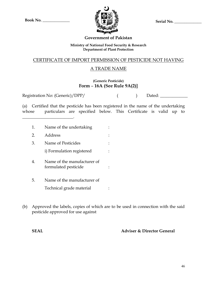

## Government of Pakistan

#### Ministry of National Food Security & Research Department of Plant Protection

## CERTIFICATE OF IMPORT PERMISSION OF PESTICIDE NOT HAVING

## A TRADE NAME

## (Generic Pesticide) Form – 16A (See Rule 9A(2)]

Registration No: (Generic)/DPP/ ( ) Dated: \_\_\_\_\_\_\_\_\_\_\_\_\_

(a) Certified that the pesticide has been registered in the name of the undertaking whose particulars are specified below. This Certificate is valid up to

- 1. Name of the undertaking :
- 2. Address :

\_\_\_\_\_\_\_\_\_\_\_\_\_\_\_\_\_\_\_\_\_\_\_\_.

- 3. Name of Pesticides : i) Formulation registered :
- 4. Name of the manufacturer of formulated pesticide :  $\qquad \qquad :$
- 5. Name of the manufacturer of

Technical grade material :

(b) Approved the labels, copies of which are to be used in connection with the said pesticide approved for use against

SEAL Adviser & Director General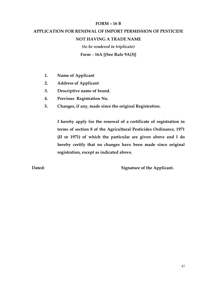#### FORM – 16 B

# APPLICATION FOR RENEWAL OF IMPORT PERMISSION OF PESTICIDE NOT HAVING A TRADE NAME (to be rendered in triplicate)

Form – 16A [(See Rule 9A(3)]

- 1. Name of Applicant
- 2. Address of Applicant
- 3. Descriptive name of brand.
- 4. Previous Registration No.
- 5. Changes, if any, made since the original Registration.

I hereby apply for the renewal of a certificate of registration in terms of section 8 of the Agricultural Pesticides Ordinance, 1971 (II or 1971) of which the particular are given above and I do hereby certify that no changes have been made since original registration, except as indicated above.

Dated: Signature of the Applicant.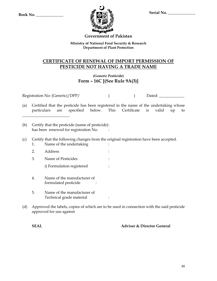

## Government of Pakistan

Ministry of National Food Security & Research Department of Plant Protection

## CERTIFICATE OF RENEWAL OF IMPORT PERMISSION OF PESTICIDE NOT HAVING A TRADE NAME

## (Generic Pesticide) Form – 16C [(See Rule 9A(3)]

Registration No: (Generic)/DPP/ ( ) Dated:

- (a) Certified that the pesticide has been registered in the name of the undertaking whose particulars are specified below. This Certificate is valid up to
- (b) Certify that the pesticide (name of pesticide) : has been renewed for registration No. :

\_\_\_\_\_\_\_\_\_\_\_\_\_\_\_\_\_\_\_\_\_\_\_\_.

- (c) Certify that the following changes from the original registration have been accepted.
	- 1. Name of the undertaking
	- 2. Address :
	- 3. Name of Pesticides :
		- i) Formulation registered :
	- 4. Name of the manufacturer of formulated pesticide :
	- 5. Name of the manufacturer of Technical grade material :
- (d) Approved the labels, copies of which are to be used in connection with the said pesticide approved for use against

SEAL Adviser & Director General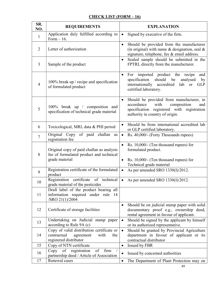## CHECK LIST (FORM – 16)

| SR.<br>NO.     | <b>REQUIREMENTS</b>                                                                                            | <b>EXPLANATION</b>                                                                                                                                                                           |
|----------------|----------------------------------------------------------------------------------------------------------------|----------------------------------------------------------------------------------------------------------------------------------------------------------------------------------------------|
| $\mathbf{1}$   | Application duly fulfilled according to<br>Form $-16$ .                                                        | Signed by executive of the firm.<br>$\bullet$                                                                                                                                                |
| $\overline{2}$ | Letter of authorization                                                                                        | Should be provided from the manufacturer<br>$\bullet$<br>(in original) with name $\&$ designation, seal $\&$<br>signature, telephone, fax & email address.                                   |
| 3              | Sample of the product                                                                                          | Sealed sample should be submitted in the<br>$\bullet$<br>FPTRL directly from the manufacturer.                                                                                               |
| $\overline{4}$ | 100% break up / recipe and specification<br>of formulated product                                              | For imported product the recipe<br>and<br>$\bullet$<br>should be<br>specification<br>analysed<br>by<br>internationally accredited<br>lab<br><b>GLP</b><br><b>or</b><br>certified laboratory. |
| 5              | 100% break up / composition and<br>specification of technical grade material                                   | Should be provided from manufacturer, in<br>$\bullet$<br>accordance<br>with<br>composition<br>and<br>specification registered with registration<br>authority in country of origin.           |
| 6              | Toxicological, MRL data & PHI period                                                                           | Should be from international accredited lab<br>$\bullet$<br>or GLP certified laboratory.                                                                                                     |
| $\overline{7}$ | Original Copy of paid challan<br>as<br>registration fee                                                        | Rs. 40,000/- (Forty Thousands rupees)<br>$\bullet$                                                                                                                                           |
| 8              | Original copy of paid challan as analysis<br>fee of formulated product and technical<br>grade material         | Rs. 10,000/- (Ten thousand rupees) for<br>$\bullet$<br>formulated product.<br>Rs. 10,000/- (Ten thousand rupees) for<br>$\bullet$                                                            |
|                |                                                                                                                | Technical grade material                                                                                                                                                                     |
| 9              | Registration certificate of the formulated<br>product                                                          | As per amended SRO 1330(I)/2012.<br>$\bullet$                                                                                                                                                |
| 10             | Registration certificate of technical<br>grade material of the pesticides                                      | As per amended SRO 1330(I)/2012.                                                                                                                                                             |
| 11             | Draft label of the product bearing all<br>information required under rule<br>- 14<br>/SRO 21(1)/2004           |                                                                                                                                                                                              |
| 12             | Certificate of storage facilities                                                                              | Should be on judicial stamp paper with solid<br>documentary proof e.g., ownership deed,<br>rental agreement in favour of applicant.                                                          |
| 13             | Undertaking on Judicial stamp paper<br>according to Rule 9A (c)                                                | Should be signed by the applicant by himself<br>$\bullet$<br>or its authorized representative.                                                                                               |
| 14             | Copy of valid distribution certificate or<br>contractual<br>agreement<br>with<br>the<br>registered distributor | Should be granted by Provincial Agriculture<br>$\bullet$<br>department in favour of applicant or its<br>contractual distributor                                                              |
| 15             | Copy of NTN certificate                                                                                        | Issued by FBR<br>$\bullet$                                                                                                                                                                   |
| 16             | registration<br>of<br>$Copy$ of<br>firm<br>partnership deed / Article of Association                           | Issued by concerned authorities                                                                                                                                                              |
| 17             | Renewal cases                                                                                                  | The Department of Plant Protection may on<br>$\bullet$                                                                                                                                       |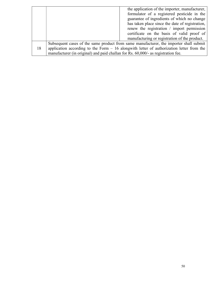|    |                                                                                   | the application of the importer, manufacturer,                                            |
|----|-----------------------------------------------------------------------------------|-------------------------------------------------------------------------------------------|
|    |                                                                                   | formulator of a registered pesticide in the                                               |
|    |                                                                                   | guarantee of ingredients of which no change                                               |
|    |                                                                                   | has taken place since the date of registration,                                           |
|    |                                                                                   | renew the registration / import permission                                                |
|    |                                                                                   | certificate on the basis of valid proof of                                                |
|    |                                                                                   | manufacturing or registration of the product.                                             |
|    |                                                                                   | Subsequent cases of the same product from same manufacturer, the importer shall submit    |
| 18 |                                                                                   | application according to the Form $-16$ alongwith letter of authorization letter from the |
|    | manufacturer (in original) and paid challan for Rs. 60,000/- as registration fee. |                                                                                           |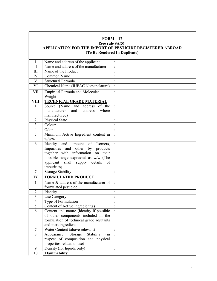#### FORM – 17 [See rule 9A(5)] APPLICATION FOR THE IMPORT OF PESTICIDE REGISTERED ABROAD (To Be Rendered In Duplicate)

| I                | Name and address of the applicant                   | $\ddot{\cdot}$              |  |
|------------------|-----------------------------------------------------|-----------------------------|--|
| $\mathbf{I}$     | Name and address of the manufacturer                | $\cdot$                     |  |
| III              | Name of the Product                                 | $\ddot{\cdot}$              |  |
| IV               | Common Name                                         | $\blacksquare$<br>$\bullet$ |  |
| $\mathbf{V}$     | Structural Formula                                  | $\ddot{\cdot}$              |  |
| VI               | Chemical Name (IUPAC Nomenclature)                  | ÷                           |  |
| <b>VII</b>       | <b>Empirical Formula and Molecular</b><br>Weight    |                             |  |
| <b>VIII</b>      | TECHNICAL GRADE MATERIAL                            |                             |  |
| $\mathbf{1}$     | Source (Name and address<br>of the                  |                             |  |
|                  | manufacturer<br>address<br>and<br>where             |                             |  |
|                  | manufactured)                                       |                             |  |
| $\overline{2}$   | Physical State                                      | $\ddot{\cdot}$              |  |
| 3                | Colour                                              |                             |  |
| $\overline{4}$   | Odor                                                |                             |  |
| $\overline{5}$   | Minimum Active Ingredient content in<br>$W/W^{0/2}$ | $\ddot{\cdot}$              |  |
| 6                | of<br>Identity<br>and<br>amount<br>Isomers,         | $\ddot{\cdot}$              |  |
|                  | Impurities<br>and other<br>products<br>by           |                             |  |
|                  | together with information<br>their<br>on            |                             |  |
|                  | possible range expressed as w/w (The                |                             |  |
|                  | applicant<br>shall supply details<br>of             |                             |  |
|                  | impurities).                                        |                             |  |
| $\overline{7}$   | <b>Storage Stability</b>                            | $\Box$                      |  |
| IX               | FORMULATED PRODUCT                                  |                             |  |
| $\mathbf{1}$     | Name & address of the manufacturer of               |                             |  |
|                  | formulated pesticide                                |                             |  |
| $\sqrt{2}$       | Identity                                            | $\ddot{\cdot}$              |  |
| 3                | Use Category                                        | $\vdots$                    |  |
| $\overline{4}$   | Type of Formulation                                 | $\vdots$                    |  |
| 5                | Content of Active Ingredient(s)                     | $\ddot{\phantom{a}}$        |  |
| 6                | Content and nature (identity if possible            | $\ddot{\cdot}$              |  |
|                  | of other components included in the                 |                             |  |
|                  | formulation of technical grade adjutants            |                             |  |
|                  | and inert ingredients                               |                             |  |
| $\boldsymbol{7}$ | Water Content (above relevant)                      |                             |  |
| 8                | Stability<br>Storage<br>Appearance,<br>(in)         | $\ddot{\cdot}$              |  |
|                  | respect of composition and physical                 |                             |  |
|                  | properties related to use)                          |                             |  |
| 9                | Density (for liquids only)                          |                             |  |
| 10               | Flammability                                        |                             |  |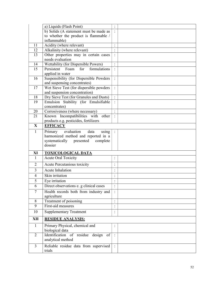|                | a) Liquids (Flash Point)                                |                      |  |
|----------------|---------------------------------------------------------|----------------------|--|
|                | b) Solids (A statement must be made as                  |                      |  |
|                | to whether the product is flammable /                   |                      |  |
|                | inflammable)                                            |                      |  |
| 11             | Acidity (where relevant)                                | $\ddot{\cdot}$       |  |
| 12             | Alkalinity (where relevant)                             | $\ddot{\phantom{a}}$ |  |
| 13             | Other properties may in certain cases                   | $\ddot{\cdot}$       |  |
|                | needs evaluation                                        |                      |  |
| 14             | Wettability (for Dispersible Powers)                    | $\ddot{\phantom{a}}$ |  |
| 15             | Foam for formulations<br>Persistent<br>applied in water | $\ddot{\cdot}$       |  |
| 16             | Suspensibility (for Dispersible Powders                 | $\ddot{\cdot}$       |  |
|                | and suspensing concentrates)                            |                      |  |
| 17             | Wet Sieve Test (for dispersible powders                 | $\ddot{\cdot}$       |  |
|                | and suspension concentration)                           |                      |  |
| 18             | Dry Sieve Test (for Granules and Dusts)                 | $\ddot{\cdot}$       |  |
| 19             | Emulsion Stability (for Emulsifiable                    | $\ddot{\cdot}$       |  |
|                | concentrates)                                           |                      |  |
| 20             | Corrosiveness (where necessary)                         | $\ddot{\cdot}$       |  |
| 21             | Known Incompatibilities with<br>other                   | $\ddot{\cdot}$       |  |
|                | products e.g. pesticides, fertilizers                   |                      |  |
| $\mathbf X$    | <b>EFFICACY</b>                                         |                      |  |
| $\mathbf{1}$   | evaluation<br>Primary<br>data<br>using                  | $\ddot{\cdot}$       |  |
|                | harmonized method and reported in a                     |                      |  |
|                |                                                         |                      |  |
|                |                                                         |                      |  |
|                | systematically<br>presented<br>complete<br>dossier      |                      |  |
| XI             | <b>TOXICOLOGICAL DATA</b>                               |                      |  |
| $\mathbf{1}$   | <b>Acute Oral Toxicity</b>                              | $\bullet$            |  |
| $\overline{2}$ | Acute Percutanious toxicity                             |                      |  |
| 3              | Acute Inhalation                                        | $\ddot{\phantom{a}}$ |  |
|                |                                                         | $\cdot$              |  |
| 4              | Skin irritation                                         | $\bullet$            |  |
| 5              | Eye irritation                                          |                      |  |
| 6              | Direct observations e. g clinical cases                 | $\ddot{\cdot}$       |  |
| $\tau$         | Health records both from industry and<br>agriculture    |                      |  |
| 8              | Treatment of poisoning                                  | $\ddot{\cdot}$       |  |
| 9              | First-aid measures                                      | $\ddot{\cdot}$       |  |
| 10             | <b>Supplementary Treatment</b>                          | $\ddot{\cdot}$       |  |
| XII            | <b>RESIDUE ANALYSIS:</b>                                |                      |  |
| $\mathbf{1}$   | Primary Physical, chemical and                          |                      |  |
|                | biological data                                         |                      |  |
| $\overline{2}$ | Identification of residue<br>design<br>of               | $\ddot{\cdot}$       |  |
|                | analytical method                                       |                      |  |
| 3              | Reliable residue data from supervised<br>trials         |                      |  |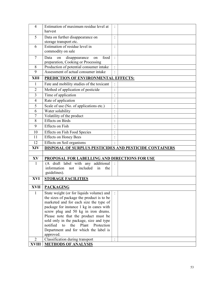| $\overline{4}$  | Estimation of maximum residue level at                                               | $\ddot{\cdot}$                  |  |
|-----------------|--------------------------------------------------------------------------------------|---------------------------------|--|
|                 | harvest                                                                              |                                 |  |
| 5               | Data on further disappearance on                                                     | $\ddot{\cdot}$                  |  |
|                 | storage transport etc.<br>Estimation of residue level in                             |                                 |  |
| 6               | commodity on sale                                                                    | $\ddot{\phantom{a}}$            |  |
| $\overline{7}$  | Data<br>food                                                                         | $\ddot{\cdot}$                  |  |
|                 | disappearance<br>on<br>on<br>preparation, Cooking or Processing                      |                                 |  |
| 8               | Production of potential consumer intake                                              | $\vdots$                        |  |
| 9               | Assessment of actual consumer intake                                                 |                                 |  |
| <b>XIII</b>     | <b>PREDICTION OF ENVIRONMENTAL EFFECTS:</b>                                          |                                 |  |
| $\mathbf{1}$    | Fate and mobility studies of the toxicant                                            |                                 |  |
| $\sqrt{2}$      | Method of application of pesticide                                                   | $\ddot{\cdot}$                  |  |
| 3               | Time of application                                                                  | $\bullet$                       |  |
| $\overline{4}$  | Rate of application                                                                  | $\cdot$                         |  |
| 5               | Scale of use (No. of applications etc.)                                              | $\ddot{\phantom{0}}$            |  |
| 6               | Water solubility                                                                     | $\cdot$<br>$\ddot{\phantom{0}}$ |  |
| 7               | Volatility of the product                                                            | $\ddot{\phantom{0}}$            |  |
| 8               | <b>Effects</b> on Birds                                                              | $\ddot{\phantom{0}}$            |  |
| 9               | <b>Effects</b> on Fish                                                               | $\ddot{\cdot}$                  |  |
| 10              | <b>Effects on Fish Food Species</b>                                                  | $\ddot{\phantom{0}}$            |  |
| 11              | <b>Effects on Honey Bees</b>                                                         | $\ddot{\phantom{a}}$            |  |
| $\overline{12}$ | <b>Effects</b> on Soil organisms                                                     | $\ddot{\phantom{0}}$            |  |
| <b>XIV</b>      | DISPOSAL OF SURPLUS PESTICIDES AND PESTICIDE CONTAINERS                              |                                 |  |
|                 |                                                                                      |                                 |  |
| XV              | PROPOSAL FOR LABELLING AND DIRECTIONS FOR USE                                        |                                 |  |
| $\mathbf{1}$    | (A draft label with any additional<br>information not included<br>in<br>the          |                                 |  |
|                 | guidelines).                                                                         |                                 |  |
| XVI             | <b>STORAGE FACILITIES</b>                                                            |                                 |  |
|                 |                                                                                      |                                 |  |
| <b>XVII</b>     | <b>PACKAGING</b>                                                                     |                                 |  |
| $\mathbf{1}$    | State weight (or for liquids volume) and                                             |                                 |  |
|                 | the sizes of package the product is to be                                            |                                 |  |
|                 | marketed and for each size the type of                                               |                                 |  |
|                 | package for instance 1 kg in canes with                                              |                                 |  |
|                 | screw plug and 50 kg in iron drums.                                                  |                                 |  |
|                 | Please note that the product must be                                                 |                                 |  |
|                 | sold only in the package, size and type<br>notified to<br>the<br>Plant<br>Protection |                                 |  |
|                 |                                                                                      |                                 |  |
|                 | Department and for which the label is<br>approved.                                   |                                 |  |
| $\overline{2}$  | Classification during transport                                                      | $\ddot{\cdot}$                  |  |
| <b>XVIII</b>    | <b>METHODS OF ANALYSIS</b>                                                           |                                 |  |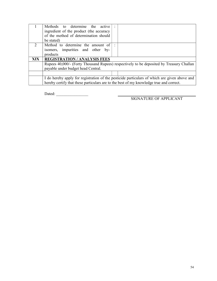|            | Methods to determine the active<br>ingredient of the product (the accuracy              |                                                                                              |
|------------|-----------------------------------------------------------------------------------------|----------------------------------------------------------------------------------------------|
|            | of the method of determination should<br>be stated)                                     |                                                                                              |
| 2          | Method to determine the amount of<br>isomers, impurities and other by-<br>products      |                                                                                              |
| <b>XIX</b> | <b>REGISTRATION/ANALYSIS FEES</b>                                                       |                                                                                              |
|            | payable under budget head Central.                                                      | Rupees 40,000/- (Forty Thousand Rupees) respectively to be deposited by Treasury Challan     |
|            |                                                                                         |                                                                                              |
|            | hereby certify that these particulars are to the best of my knowledge true and correct. | I do hereby apply for registration of the pesticide particulars of which are given above and |

 $Dated:$ 

SIGNATURE OF APPLICANT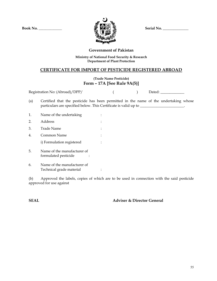$Book No.$  \_\_\_\_\_\_\_\_\_\_\_\_\_\_\_\_\_\_\_\_\_\_  $\mathcal{P} \longrightarrow \mathcal{P} \longrightarrow \mathcal{P}$  Serial No.



#### Government of Pakistan

#### Ministry of National Food Security & Research Department of Plant Protection

#### CERTIFICATE FOR IMPORT OF PESTICIDE REGISTERED ABROAD

#### (Trade Name Pesticide) Form – 17A [See Rule 9A(5)]

| Registration No: (Abroad)/DPP/ | Dated: |
|--------------------------------|--------|
|                                |        |

(a) Certified that the pesticide has been permitted in the name of the undertaking whose particulars are specified below. This Certificate is valid up to \_\_\_\_\_\_\_\_\_\_\_\_\_\_\_\_

| 1.  | Name of the undertaking                             |  |
|-----|-----------------------------------------------------|--|
| 2.  | Address                                             |  |
| 3.  | Trade Name                                          |  |
|     | Common Name                                         |  |
|     | i) Formulation registered                           |  |
| .5. | Name of the manufacturer of<br>formulated pesticide |  |

6. Name of the manufacturer of Technical grade material :

(b) Approved the labels, copies of which are to be used in connection with the said pesticide approved for use against

SEAL Adviser & Director General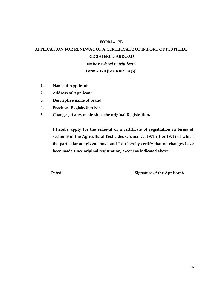#### FORM – 17B

# APPLICATION FOR RENEWAL OF A CERTIFICATE OF IMPORT OF PESTICIDE REGISTERED ABROAD

 (to be rendered in triplicate) Form – 17B [See Rule 9A(5)]

- 1. Name of Applicant
- 2. Address of Applicant
- 3. Descriptive name of brand.
- 4. Previous Registration No.
- 5. Changes, if any, made since the original Registration.

I hereby apply for the renewal of a certificate of registration in terms of section 8 of the Agricultural Pesticides Ordinance, 1971 (II or 1971) of which the particular are given above and I do hereby certify that no changes have been made since original registration, except as indicated above.

Dated: Signature of the Applicant.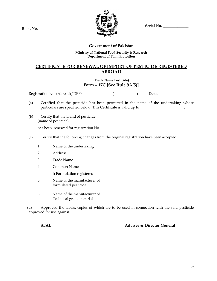Serial No.

Book No. \_\_\_\_\_\_\_\_\_\_\_\_\_\_



#### Government of Pakistan

#### Ministry of National Food Security & Research Department of Plant Protection

## CERTIFICATE FOR RENEWAL OF IMPORT OF PESTICIDE REGISTERED ABROAD

#### (Trade Name Pesticide) Form – 17C [See Rule 9A(5)]

|     |    | Registration No: (Abroad)/DPP/                                                                                                                                                  |  | Dated: |
|-----|----|---------------------------------------------------------------------------------------------------------------------------------------------------------------------------------|--|--------|
| (a) |    | Certified that the pesticide has been permitted in the name of the undertaking whose<br>particulars are specified below. This Certificate is valid up to _____________________. |  |        |
| (b) |    | Certify that the brand of pesticide :<br>(name of pesticide)                                                                                                                    |  |        |
|     |    | has been renewed for registration No.:                                                                                                                                          |  |        |
| (c) |    | Certify that the following changes from the original registration have been accepted.                                                                                           |  |        |
|     | 1. | Name of the undertaking                                                                                                                                                         |  |        |
|     | 2. | Address                                                                                                                                                                         |  |        |
|     | 3. | Trade Name                                                                                                                                                                      |  |        |
|     | 4. | Common Name                                                                                                                                                                     |  |        |
|     |    | i) Formulation registered                                                                                                                                                       |  |        |
|     | 5. | Name of the manufacturer of<br>formulated pesticide                                                                                                                             |  |        |

6. Name of the manufacturer of Technical grade material :

(d) Approved the labels, copies of which are to be used in connection with the said pesticide approved for use against

SEAL Adviser & Director General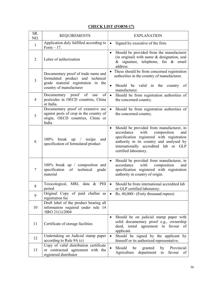## CHECK LIST (FORM-17)

| SR.<br>NO.     | <b>REQUIREMENTS</b>                                                                                                                         | <b>EXPLANATION</b>                                                                                                                                                                                                                                            |
|----------------|---------------------------------------------------------------------------------------------------------------------------------------------|---------------------------------------------------------------------------------------------------------------------------------------------------------------------------------------------------------------------------------------------------------------|
| $\mathbf{1}$   | Application duly fulfilled according to<br>Form $-17$ .                                                                                     | Signed by executive of the firm.<br>$\bullet$                                                                                                                                                                                                                 |
| $\overline{2}$ | Letter of authorization                                                                                                                     | Should be provided from the manufacturer<br>$\bullet$<br>(in original) with name $&$ designation, seal<br>& signature, telephone, fax & email<br>address.                                                                                                     |
| 3              | Documentary proof of trade name and<br>formulated product and<br>technical<br>grade material registration in the<br>country of manufacturer | These should be from concerned registration<br>$\bullet$<br>authorities in the country of manufacturer.<br>Should be valid in the country of<br>$\bullet$<br>manufacturer.                                                                                    |
| $\overline{4}$ | Documentary proof of<br>of<br>use<br>pesticides in OECD countries, China<br>or India.                                                       | Should be from registration authorities of<br>$\bullet$<br>the concerned country.                                                                                                                                                                             |
| 5              | Documentary proof of extensive use<br>against pests of crop in the country of<br>origin, OECD countries, China or<br>India                  | Should be from registration authorities of<br>$\bullet$<br>the concerned country.                                                                                                                                                                             |
| 6              | 100%<br>break up<br>$/$ recipe<br>and<br>specification of formulated product                                                                | Should be provided from manufacturer, in<br>$\bullet$<br>with<br>accordance<br>composition<br>and<br>specification registered with registration<br>authority in its country and analysed by<br>internationally accredited lab or GLP<br>certified laboratory. |
| 7              | 100% break up / composition and<br>specification<br>of<br>technical<br>grade<br>material                                                    | Should be provided from manufacturer, in<br>$\bullet$<br>with<br>composition<br>accordance<br>and<br>specification registered with registration<br>authority in country of origin.                                                                            |
| 8              | Toxicological, MRL data & PHI<br>period                                                                                                     | Should be from international accredited lab<br>$\bullet$<br>or GLP certified laboratory.                                                                                                                                                                      |
| 9              | Original Copy of paid challan as<br>registration fee                                                                                        | Rs. 40,000/- (Forty thousand rupees)                                                                                                                                                                                                                          |
| 10             | Draft label of the product bearing all<br>information required under rule 14<br>/SRO 21(1)/2004                                             |                                                                                                                                                                                                                                                               |
| 11             | Certificate of storage facilities                                                                                                           | Should be on judicial stamp paper with<br>٠<br>solid documentary proof e.g., ownership<br>deed, rental agreement in favour<br>of<br>applicant.                                                                                                                |
| 12             | Undertaking on Judicial stamp paper<br>according to Rule 9A (c)                                                                             | Should be signed by the applicant<br>by<br>$\bullet$<br>himself or its authorized representative.                                                                                                                                                             |
| 13             | Copy of valid distribution certificate<br>or contractual agreement with the<br>registered distributor                                       | Should<br>be<br>Provincial<br>granted<br>by<br>Agriculture<br>department<br>favour<br>in<br>of                                                                                                                                                                |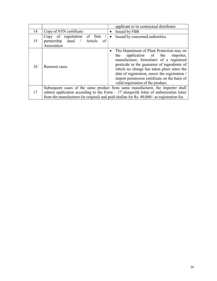|    | applicant or its contractual distributor                                           |                                                                                                                                                                                                                                                                                                                                                                       |  |
|----|------------------------------------------------------------------------------------|-----------------------------------------------------------------------------------------------------------------------------------------------------------------------------------------------------------------------------------------------------------------------------------------------------------------------------------------------------------------------|--|
| 14 | Copy of NTN certificate                                                            | Issued by FBR<br>$\bullet$                                                                                                                                                                                                                                                                                                                                            |  |
| 15 | Copy of registration of firm<br>partnership deed /<br>Article<br>οf<br>Association | Issued by concerned authorities<br>$\bullet$                                                                                                                                                                                                                                                                                                                          |  |
| 16 | Renewal cases                                                                      | The Department of Plant Protection may on<br>application of the<br>the<br>importer,<br>manufacturer, formulator of a registered<br>pesticide in the guarantee of ingredients of<br>which no change has taken place since the<br>date of registration, renew the registration /<br>import permission certificate on the basis of<br>valid registration of the product. |  |
|    |                                                                                    | Subsequent cases of the same product from same manufacturer, the importer shall                                                                                                                                                                                                                                                                                       |  |
| 17 |                                                                                    | submit application according to the Form $-17$ alongwith letter of authorization letter                                                                                                                                                                                                                                                                               |  |
|    |                                                                                    | from the manufacturer (in original) and paid challan for Rs. 40,000/- as registration fee.                                                                                                                                                                                                                                                                            |  |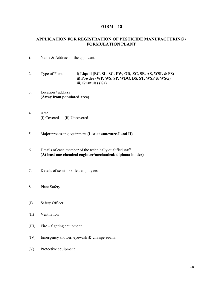#### FORM – 18

#### APPLICATION FOR REGISTRATION OF PESTICIDE MANUFACTURING / FORMULATION PLANT

- 1. Name & Address of the applicant.
- 2. Type of Plant i) Liquid (EC, SL, SC, EW, OD, ZC, SE, AS, WSL & FS) ii) Powder (WP, WS, SP, WDG, DS, ST, WSP & WSG) iii) Granules (Gr)
- 3. Location / address (Away from populated area)
- 4. Area (i) Covered (ii) Uncovered
- 5. Major processing equipment (List at annexure-I and II)
- 6. Details of each member of the technically qualified staff. (At least one chemical engineer/mechanical/ diploma holder)
- 7. Details of semi skilled employees
- 8. Plant Safety.
- (I) Safety Officer
- (II) Ventilation
- (III) Fire fighting equipment
- (IV) Emergency shower, eyewash & change room.
- (V) Protective equipment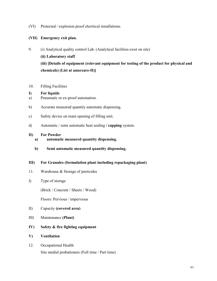(VI) Protected / explosion proof electrical installations.

#### (VII) Emergency exit plan.

- 9. (i) Analytical quality control Lab. (Analytical facilities exist on site) (ii) Laboratory staff (iii) [Details of equipment (relevant equipment for testing of the product for physical and chemicals) (List at annexure-II)]
- 10. Filling Facilities

#### I) For liquids

- a) Pneumatic or ex-proof automation.
- b) Accurate measured quantity automatic dispensing.
- c) Safety device on main opening of filling unit.
- d) Automatic / semi automatic heat sealing / capping system.

#### II) For Powder

- a) automatic measured quantity dispensing.
- b) Semi automatic measured quantity dispensing.

#### III) For Granules (formulation plant including repackaging plant)

- 11. Warehouse & Storage of pesticides
- I) Type of storage

(Brick / Concrete / Sheets / Wood)

Floors: Pervious / impervious

- II) Capacity (covered area)
- III) Maintenance (Plant)
- IV) Safety & fire fighting equipment
- V) Ventilation
- 12. Occupational Health Site medial probationers (Full time / Part time)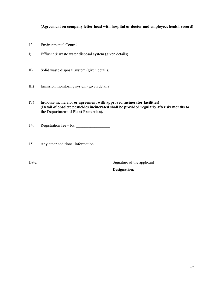#### (Agreement on company letter head with hospital or doctor and employees health record)

- 13. Environmental Control
- I) Effluent & waste water disposal system (given details)
- II) Solid waste disposal system (given details)
- III) Emission monitoring system (given details)
- IV) In-house incinerator or agreement with approved incinerator facilities) (Detail of obsolete pesticides incinerated shall be provided regularly after six months to the Department of Plant Protection).
- 14. Registration fee Rs.
- 15. Any other additional information

Date: Signature of the applicant

Designation: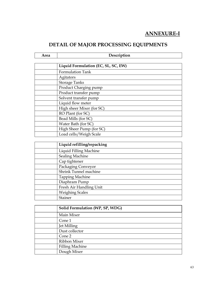# ANNEXURE-I

# DETAIL OF MAJOR PROCESSING EQUIPMENTS

Description

| Liquid Formulation (EC, SL, SC, EW) |  |
|-------------------------------------|--|
| <b>Formulation Tank</b>             |  |
| Agitators                           |  |
| <b>Storage Tanks</b>                |  |
| Product Charging pump               |  |
| Product transfer pump               |  |
| Solvent transfer pump               |  |
| Liquid flow meter                   |  |
| High sheer Mixer (for SC)           |  |
| RO Plant (for SC)                   |  |
| Bead Mills (for SC)                 |  |
| Water Bath (for SC)                 |  |
| High Sheer Pump (for SC)            |  |
| Load cells/Weigh Scale              |  |

| Liquid refilling/repacking |  |
|----------------------------|--|
| Liquid Filling Machine     |  |
| <b>Sealing Machine</b>     |  |
| Cap tightener              |  |
| Packaging Conveyor         |  |
| Shrink Tunnel machine      |  |
| <b>Tapping Machine</b>     |  |
| Diaphram Pump              |  |
| Fresh Air Handling Unit    |  |
| <b>Weighing Scales</b>     |  |
| Stainer                    |  |

| Solid Formulation (WP, SP, WDG) |
|---------------------------------|
| Main Mixer                      |
| Cone 1                          |
| Jet Milling                     |
| Dust collector                  |
| Cone 2                          |
| Ribbon Mixer                    |
| <b>Filling Machine</b>          |
| Dough Mixer                     |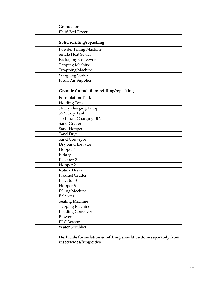| Granulator      |
|-----------------|
| Fluid Bed Dryer |

| Solid refilling/repacking |
|---------------------------|
| Powder Filling Machine    |
| Single Heat Sealer        |
| Packaging Conveyor        |
| <b>Tapping Machine</b>    |
| <b>Strapping Machine</b>  |
| <b>Weighing Scales</b>    |
| Fresh Air Supplies        |

| Granule formulation/refilling/repacking |
|-----------------------------------------|
| Formulation Tank                        |
| Holding Tank                            |
| Slurry charging Pump                    |
| <b>SS Slurry Tank</b>                   |
| <b>Technical Charging BIN</b>           |
| Sand Grader                             |
| Sand Hopper                             |
| Sand Dryer                              |
| Sand Conveyor                           |
| Dry Sand Elevator                       |
| Hopper 1                                |
| Rotary                                  |
| Elevator 2                              |
| Hopper 2                                |
| Rotary Dryer                            |
| Product Grader                          |
| Elevator 3                              |
| Hopper 3                                |
| <b>Filling Machine</b>                  |
| <b>Balances</b>                         |
| <b>Sealing Machine</b>                  |
| <b>Tapping Machine</b>                  |
| Loading Conveyor                        |
| Blower                                  |
| PLC System                              |
| Water Scrubber                          |

Herbicide formulation & refilling should be done separately from insecticides/fungicides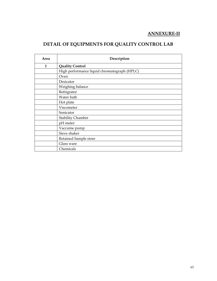# ANNEXURE-II

# DETAIL OF EQUIPMENTS FOR QUALITY CONTROL LAB

| Area | Description                                  |
|------|----------------------------------------------|
| 1    | <b>Quality Control</b>                       |
|      | High performance liquid chromatograph (HPLC) |
|      | Oven                                         |
|      | Desicator                                    |
|      | Weighing balance                             |
|      | Refrigrator                                  |
|      | Water bath                                   |
|      | Hot plate                                    |
|      | Viscometer                                   |
|      | Sonicator                                    |
|      | <b>Stability Chamber</b>                     |
|      | pH meter                                     |
|      | Vaccume pump                                 |
|      | Sieve shaker                                 |
|      | Retained Sample store                        |
|      | Glass ware                                   |
|      | Chemicals                                    |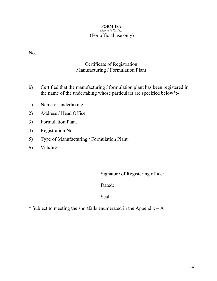## FORM 18A

## ${See rule 7A (3)}$ (For official use only)

| No.          |                                                                                                                                                     |
|--------------|-----------------------------------------------------------------------------------------------------------------------------------------------------|
|              | Certificate of Registration<br>Manufacturing / Formulation Plant                                                                                    |
| $\mathbf{b}$ | Certified that the manufacturing / formulation plant has been registered in<br>the name of the undertaking whose particulars are specified below*:- |
| 1)           | Name of undertaking                                                                                                                                 |
| 2)           | Address / Head Office                                                                                                                               |
| 3)           | <b>Formulation Plant</b>                                                                                                                            |
| 4)           | Registration No.                                                                                                                                    |
| 5)           | Type of Manufacturing / Formulation Plant.                                                                                                          |
|              |                                                                                                                                                     |

6) Validity.

Signature of Registering officer

Dated:

Seal:

\* Subject to meeting the shortfalls enumerated in the Appendix  $-A$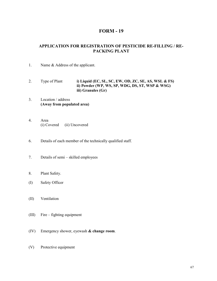## FORM - 19

#### APPLICATION FOR REGISTRATION OF PESTICIDE RE-FILLING / RE-PACKING PLANT

- 1. Name & Address of the applicant.
- 2. Type of Plant i) Liquid (EC, SL, SC, EW, OD, ZC, SE, AS, WSL & FS) ii) Powder (WP, WS, SP, WDG, DS, ST, WSP & WSG) iii) Granules (Gr)
- 3. Location / address (Away from populated area)
- 4. Area (i) Covered (ii) Uncovered
- 6. Details of each member of the technically qualified staff.
- 7. Details of semi skilled employees
- 8. Plant Safety.
- (I) Safety Officer
- (II) Ventilation
- (III) Fire fighting equipment
- (IV) Emergency shower, eyewash & change room.
- (V) Protective equipment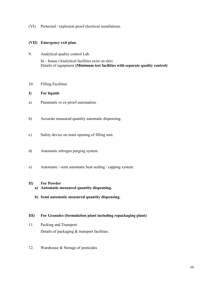(VI) Protected / explosion proof electrical installations.

#### (VII) Emergency exit plan.

- 9. Analytical quality control Lab. In – house (Analytical facilities exist on site) Details of equipment (Minimum test facilities with separate quality control)
- 10. Filling Facilities

#### I) For liquids

- a) Pneumatic or ex-proof automation.
- b) Accurate measured quantity automatic dispensing.
- c) Safety device on main opening of filling unit.
- d) Automatic nitrogen purging system.
- e) Automatic / semi automatic heat sealing / capping system.

#### II) For Powder

- a) Automatic measured quantity dispensing.
- b) Semi automatic measured quantity dispensing.

#### III) For Granules (formulation plant including repackaging plant)

- 11. Packing and Transport Details of packaging & transport facilities.
- 12. Warehouse & Storage of pesticides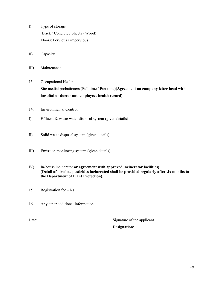- I) Type of storage (Brick / Concrete / Sheets / Wood) Floors: Pervious / impervious
- II) Capacity
- III) Maintenance
- 13. Occupational Health Site medial probationers (Full time / Part time)(Agreement on company letter head with hospital or doctor and employees health record)
- 14. Environmental Control
- I) Effluent & waste water disposal system (given details)
- II) Solid waste disposal system (given details)
- III) Emission monitoring system (given details)
- IV) In-house incinerator or agreement with approved incinerator facilities) (Detail of obsolete pesticides incinerated shall be provided regularly after six months to the Department of Plant Protection).

15. Registration fee – Rs.

16. Any other additional information

Date: Signature of the applicant Designation: